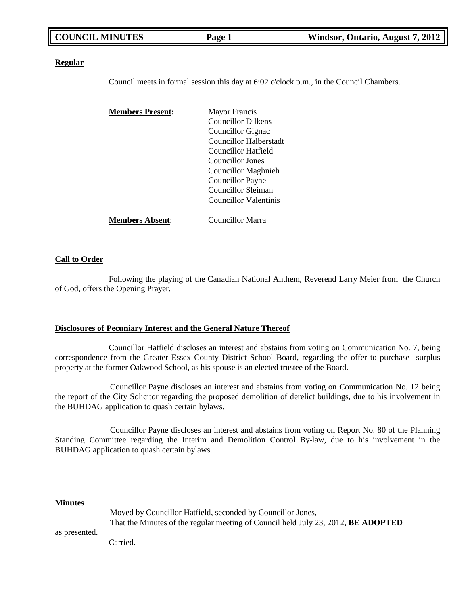| <b>COUNCIL MINUTES</b> | Page 1 | Windsor, Ontario, August 7, 2012 |
|------------------------|--------|----------------------------------|
|                        |        |                                  |

#### **Regular**

Council meets in formal session this day at 6:02 o'clock p.m., in the Council Chambers.

| <b>Members Present:</b> | <b>Mayor Francis</b>          |
|-------------------------|-------------------------------|
|                         | <b>Councillor Dilkens</b>     |
|                         | Councillor Gignac             |
|                         | <b>Councillor Halberstadt</b> |
|                         | Councillor Hatfield           |
|                         | <b>Councillor Jones</b>       |
|                         | <b>Councillor Maghnieh</b>    |
|                         | Councillor Payne              |
|                         | Councillor Sleiman            |
|                         | <b>Councillor Valentinis</b>  |
| <b>Members Absent:</b>  | Councillor Marra              |

#### **Call to Order**

Following the playing of the Canadian National Anthem, Reverend Larry Meier from the Church of God, offers the Opening Prayer.

### **Disclosures of Pecuniary Interest and the General Nature Thereof**

Councillor Hatfield discloses an interest and abstains from voting on Communication No. 7, being correspondence from the Greater Essex County District School Board, regarding the offer to purchase surplus property at the former Oakwood School, as his spouse is an elected trustee of the Board.

Councillor Payne discloses an interest and abstains from voting on Communication No. 12 being the report of the City Solicitor regarding the proposed demolition of derelict buildings, due to his involvement in the BUHDAG application to quash certain bylaws.

Councillor Payne discloses an interest and abstains from voting on Report No. 80 of the Planning Standing Committee regarding the Interim and Demolition Control By-law, due to his involvement in the BUHDAG application to quash certain bylaws.

#### **Minutes**

|               | Moved by Councillor Hatfield, seconded by Councillor Jones,                              |  |
|---------------|------------------------------------------------------------------------------------------|--|
|               | That the Minutes of the regular meeting of Council held July 23, 2012, <b>BE ADOPTED</b> |  |
| as presented. |                                                                                          |  |

Carried.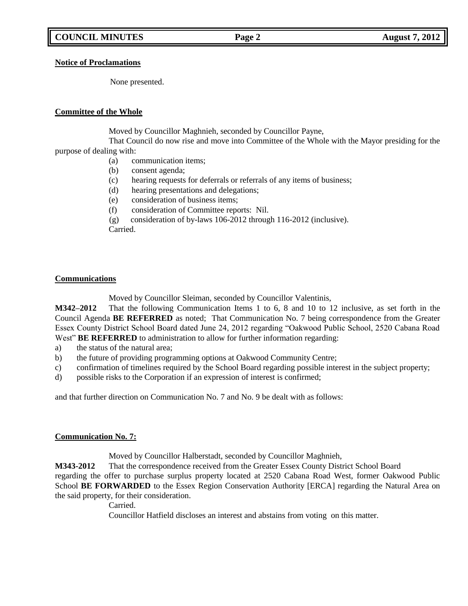### **Notice of Proclamations**

None presented.

## **Committee of the Whole**

Moved by Councillor Maghnieh, seconded by Councillor Payne,

That Council do now rise and move into Committee of the Whole with the Mayor presiding for the purpose of dealing with:

- (a) communication items;
- (b) consent agenda;
- (c) hearing requests for deferrals or referrals of any items of business;
- (d) hearing presentations and delegations;
- (e) consideration of business items;
- (f) consideration of Committee reports: Nil.
- (g) consideration of by-laws 106-2012 through 116-2012 (inclusive). Carried.

### **Communications**

Moved by Councillor Sleiman, seconded by Councillor Valentinis,

**M342–2012** That the following Communication Items 1 to 6, 8 and 10 to 12 inclusive, as set forth in the Council Agenda **BE REFERRED** as noted; That Communication No. 7 being correspondence from the Greater Essex County District School Board dated June 24, 2012 regarding "Oakwood Public School, 2520 Cabana Road West" **BE REFERRED** to administration to allow for further information regarding:

- a) the status of the natural area;
- b) the future of providing programming options at Oakwood Community Centre;
- c) confirmation of timelines required by the School Board regarding possible interest in the subject property;
- d) possible risks to the Corporation if an expression of interest is confirmed;

and that further direction on Communication No. 7 and No. 9 be dealt with as follows:

### **Communication No. 7:**

Moved by Councillor Halberstadt, seconded by Councillor Maghnieh,

**M343-2012** That the correspondence received from the Greater Essex County District School Board regarding the offer to purchase surplus property located at 2520 Cabana Road West, former Oakwood Public School **BE FORWARDED** to the Essex Region Conservation Authority [ERCA] regarding the Natural Area on the said property, for their consideration.

Carried.

Councillor Hatfield discloses an interest and abstains from voting on this matter.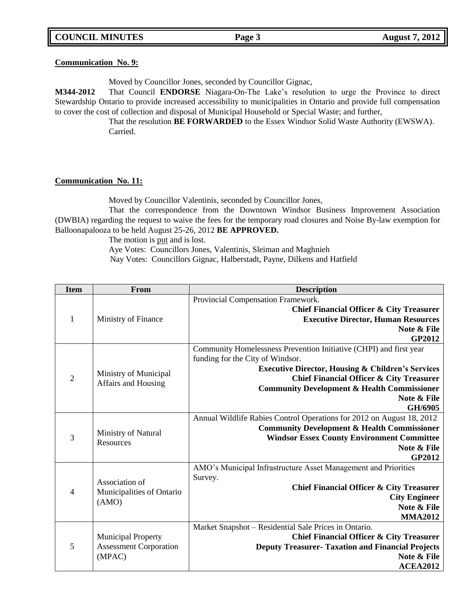|  | <b>COUNCIL MINUTES</b> |
|--|------------------------|
|--|------------------------|

### **Communication No. 9:**

Moved by Councillor Jones, seconded by Councillor Gignac,

**M344-2012** That Council **ENDORSE** Niagara-On-The Lake's resolution to urge the Province to direct Stewardship Ontario to provide increased accessibility to municipalities in Ontario and provide full compensation to cover the cost of collection and disposal of Municipal Household or Special Waste; and further,

That the resolution **BE FORWARDED** to the Essex Windsor Solid Waste Authority (EWSWA). Carried.

### **Communication No. 11:**

Moved by Councillor Valentinis, seconded by Councillor Jones,

That the correspondence from the Downtown Windsor Business Improvement Association (DWBIA) regarding the request to waive the fees for the temporary road closures and Noise By-law exemption for Balloonapalooza to be held August 25-26, 2012 **BE APPROVED.**

The motion is put and is lost.

Aye Votes: Councillors Jones, Valentinis, Sleiman and Maghnieh

Nay Votes: Councillors Gignac, Halberstadt, Payne, Dilkens and Hatfield

| <b>Item</b>    | From                                        | <b>Description</b>                                                    |
|----------------|---------------------------------------------|-----------------------------------------------------------------------|
|                |                                             | Provincial Compensation Framework.                                    |
|                |                                             | Chief Financial Officer & City Treasurer                              |
| $\mathbf{1}$   | Ministry of Finance                         | <b>Executive Director, Human Resources</b>                            |
|                |                                             | Note & File                                                           |
|                |                                             | GP2012                                                                |
|                |                                             | Community Homelessness Prevention Initiative (CHPI) and first year    |
|                |                                             | funding for the City of Windsor.                                      |
|                | Ministry of Municipal                       | <b>Executive Director, Housing &amp; Children's Services</b>          |
| $\overline{2}$ | Affairs and Housing                         | <b>Chief Financial Officer &amp; City Treasurer</b>                   |
|                |                                             | <b>Community Development &amp; Health Commissioner</b>                |
|                |                                             | Note & File                                                           |
|                |                                             | GH/6905                                                               |
|                |                                             | Annual Wildlife Rabies Control Operations for 2012 on August 18, 2012 |
| 3              | Ministry of Natural<br>Resources            | <b>Community Development &amp; Health Commissioner</b>                |
|                |                                             | <b>Windsor Essex County Environment Committee</b><br>Note & File      |
|                |                                             | <b>GP2012</b>                                                         |
|                |                                             | AMO's Municipal Infrastructure Asset Management and Priorities        |
|                |                                             | Survey.                                                               |
| $\overline{4}$ | Association of<br>Municipalities of Ontario | Chief Financial Officer & City Treasurer                              |
|                |                                             | <b>City Engineer</b>                                                  |
|                | (AMO)                                       | Note & File                                                           |
|                |                                             | <b>MMA2012</b>                                                        |
|                |                                             | Market Snapshot - Residential Sale Prices in Ontario.                 |
|                | <b>Municipal Property</b>                   | <b>Chief Financial Officer &amp; City Treasurer</b>                   |
| 5              | <b>Assessment Corporation</b>               | <b>Deputy Treasurer- Taxation and Financial Projects</b>              |
|                | (MPAC)                                      | Note & File                                                           |
|                |                                             | <b>ACEA2012</b>                                                       |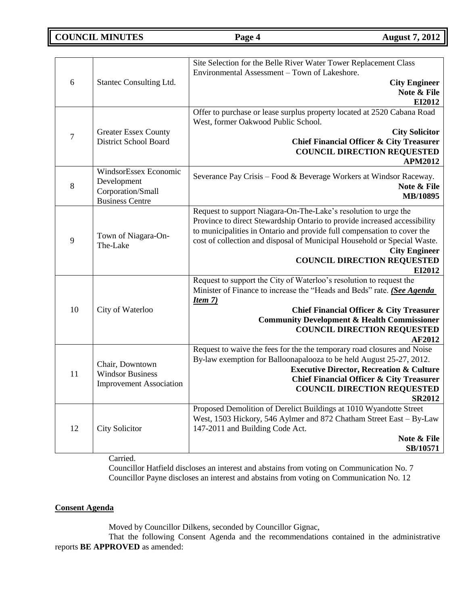**COUNCIL MINUTES Page 4 August 7, 2012** 

| 6                | Stantec Consulting Ltd.                                                             | Site Selection for the Belle River Water Tower Replacement Class<br>Environmental Assessment - Town of Lakeshore.<br><b>City Engineer</b><br>Note & File<br>EI2012                                                                                                                                                                                                          |
|------------------|-------------------------------------------------------------------------------------|-----------------------------------------------------------------------------------------------------------------------------------------------------------------------------------------------------------------------------------------------------------------------------------------------------------------------------------------------------------------------------|
| $\boldsymbol{7}$ | <b>Greater Essex County</b><br><b>District School Board</b>                         | Offer to purchase or lease surplus property located at 2520 Cabana Road<br>West, former Oakwood Public School.<br><b>City Solicitor</b><br><b>Chief Financial Officer &amp; City Treasurer</b><br><b>COUNCIL DIRECTION REQUESTED</b><br><b>APM2012</b>                                                                                                                      |
| 8                | WindsorEssex Economic<br>Development<br>Corporation/Small<br><b>Business Centre</b> | Severance Pay Crisis - Food & Beverage Workers at Windsor Raceway.<br>Note & File<br>MB/10895                                                                                                                                                                                                                                                                               |
| 9                | Town of Niagara-On-<br>The-Lake                                                     | Request to support Niagara-On-The-Lake's resolution to urge the<br>Province to direct Stewardship Ontario to provide increased accessibility<br>to municipalities in Ontario and provide full compensation to cover the<br>cost of collection and disposal of Municipal Household or Special Waste.<br><b>City Engineer</b><br><b>COUNCIL DIRECTION REQUESTED</b><br>EI2012 |
| 10               | City of Waterloo                                                                    | Request to support the City of Waterloo's resolution to request the<br>Minister of Finance to increase the "Heads and Beds" rate. (See Agenda<br><u>Item 7)</u><br><b>Chief Financial Officer &amp; City Treasurer</b><br><b>Community Development &amp; Health Commissioner</b><br><b>COUNCIL DIRECTION REQUESTED</b><br><b>AF2012</b>                                     |
| 11               | Chair, Downtown<br><b>Windsor Business</b><br><b>Improvement Association</b>        | Request to waive the fees for the the temporary road closures and Noise<br>By-law exemption for Balloonapalooza to be held August 25-27, 2012.<br><b>Executive Director, Recreation &amp; Culture</b><br><b>Chief Financial Officer &amp; City Treasurer</b><br><b>COUNCIL DIRECTION REQUESTED</b><br><b>SR2012</b>                                                         |
| 12               | <b>City Solicitor</b>                                                               | Proposed Demolition of Derelict Buildings at 1010 Wyandotte Street<br>West, 1503 Hickory, 546 Aylmer and 872 Chatham Street East - By-Law<br>147-2011 and Building Code Act.<br>Note & File<br>SB/10571                                                                                                                                                                     |

Carried.

Councillor Hatfield discloses an interest and abstains from voting on Communication No. 7 Councillor Payne discloses an interest and abstains from voting on Communication No. 12

### **Consent Agenda**

Moved by Councillor Dilkens, seconded by Councillor Gignac,

That the following Consent Agenda and the recommendations contained in the administrative reports **BE APPROVED** as amended: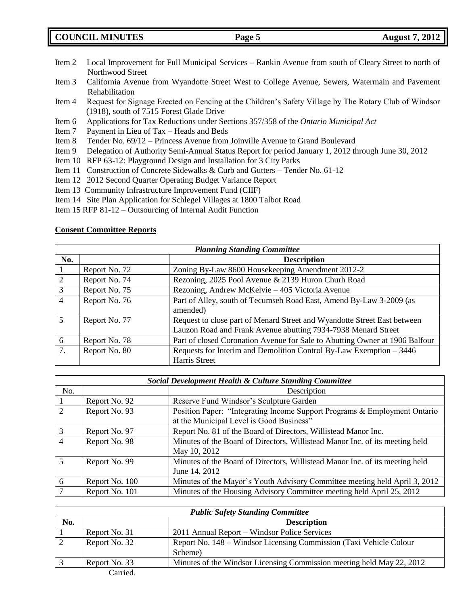**COUNCIL MINUTES Page 5 August 7, 2012**

- Item 2 Local Improvement for Full Municipal Services Rankin Avenue from south of Cleary Street to north of Northwood Street
- Item 3 California Avenue from Wyandotte Street West to College Avenue, Sewers, Watermain and Pavement Rehabilitation
- Item 4 Request for Signage Erected on Fencing at the Children's Safety Village by The Rotary Club of Windsor (1918), south of 7515 Forest Glade Drive
- Item 6 Applications for Tax Reductions under Sections 357/358 of the *Ontario Municipal Act*
- Item 7 Payment in Lieu of Tax Heads and Beds
- Item 8 Tender No. 69/12 Princess Avenue from Joinville Avenue to Grand Boulevard
- Item 9 Delegation of Authority Semi-Annual Status Report for period January 1, 2012 through June 30, 2012
- Item 10 RFP 63-12: Playground Design and Installation for 3 City Parks
- Item 11 Construction of Concrete Sidewalks & Curb and Gutters Tender No. 61-12
- Item 12 2012 Second Quarter Operating Budget Variance Report
- Item 13 Community Infrastructure Improvement Fund (CIIF)
- Item 14 Site Plan Application for Schlegel Villages at 1800 Talbot Road
- Item 15 RFP 81-12 Outsourcing of Internal Audit Function

### **Consent Committee Reports**

| <b>Planning Standing Committee</b> |               |                                                                             |
|------------------------------------|---------------|-----------------------------------------------------------------------------|
| No.                                |               | <b>Description</b>                                                          |
|                                    | Report No. 72 | Zoning By-Law 8600 Housekeeping Amendment 2012-2                            |
| $\overline{2}$                     | Report No. 74 | Rezoning, 2025 Pool Avenue & 2139 Huron Churh Road                          |
| 3                                  | Report No. 75 | Rezoning, Andrew McKelvie - 405 Victoria Avenue                             |
| $\overline{4}$                     | Report No. 76 | Part of Alley, south of Tecumseh Road East, Amend By-Law 3-2009 (as         |
|                                    |               | amended)                                                                    |
| 5                                  | Report No. 77 | Request to close part of Menard Street and Wyandotte Street East between    |
|                                    |               | Lauzon Road and Frank Avenue abutting 7934-7938 Menard Street               |
| 6                                  | Report No. 78 | Part of closed Coronation Avenue for Sale to Abutting Owner at 1906 Balfour |
| 7.                                 | Report No. 80 | Requests for Interim and Demolition Control By-Law Exemption – 3446         |
|                                    |               | Harris Street                                                               |

| Social Development Health & Culture Standing Committee |                |                                                                                                                       |
|--------------------------------------------------------|----------------|-----------------------------------------------------------------------------------------------------------------------|
| No.                                                    |                | Description                                                                                                           |
|                                                        | Report No. 92  | Reserve Fund Windsor's Sculpture Garden                                                                               |
| 2                                                      | Report No. 93  | Position Paper: "Integrating Income Support Programs & Employment Ontario<br>at the Municipal Level is Good Business" |
| 3                                                      | Report No. 97  | Report No. 81 of the Board of Directors, Willistead Manor Inc.                                                        |
| $\overline{4}$                                         | Report No. 98  | Minutes of the Board of Directors, Willistead Manor Inc. of its meeting held<br>May 10, 2012                          |
| $\overline{5}$                                         | Report No. 99  | Minutes of the Board of Directors, Willistead Manor Inc. of its meeting held<br>June 14, 2012                         |
| 6                                                      | Report No. 100 | Minutes of the Mayor's Youth Advisory Committee meeting held April 3, 2012                                            |
|                                                        | Report No. 101 | Minutes of the Housing Advisory Committee meeting held April 25, 2012                                                 |

| <b>Public Safety Standing Committee</b> |               |                                                                       |
|-----------------------------------------|---------------|-----------------------------------------------------------------------|
| No.                                     |               | <b>Description</b>                                                    |
|                                         | Report No. 31 | 2011 Annual Report – Windsor Police Services                          |
|                                         | Report No. 32 | Report No. 148 – Windsor Licensing Commission (Taxi Vehicle Colour    |
|                                         |               | Scheme)                                                               |
|                                         | Report No. 33 | Minutes of the Windsor Licensing Commission meeting held May 22, 2012 |
|                                         | Carried.      |                                                                       |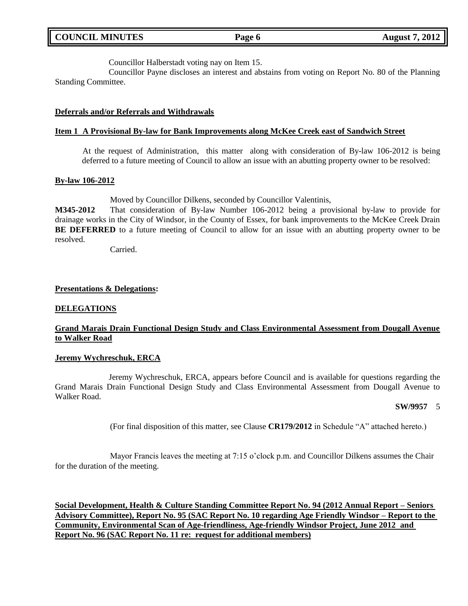|  | <b>COUNCIL MINUTES</b> |
|--|------------------------|
|--|------------------------|

Councillor Halberstadt voting nay on Item 15.

Councillor Payne discloses an interest and abstains from voting on Report No. 80 of the Planning Standing Committee.

### **Deferrals and/or Referrals and Withdrawals**

#### **Item 1 A Provisional By-law for Bank Improvements along McKee Creek east of Sandwich Street**

At the request of Administration, this matter along with consideration of By-law 106-2012 is being deferred to a future meeting of Council to allow an issue with an abutting property owner to be resolved:

#### **By-law 106-2012**

Moved by Councillor Dilkens, seconded by Councillor Valentinis,

**M345-2012** That consideration of By-law Number 106-2012 being a provisional by-law to provide for drainage works in the City of Windsor, in the County of Essex, for bank improvements to the McKee Creek Drain **BE DEFERRED** to a future meeting of Council to allow for an issue with an abutting property owner to be resolved.

Carried.

#### **Presentations & Delegations:**

#### **DELEGATIONS**

### **Grand Marais Drain Functional Design Study and Class Environmental Assessment from Dougall Avenue to Walker Road**

#### **Jeremy Wychreschuk, ERCA**

Jeremy Wychreschuk, ERCA, appears before Council and is available for questions regarding the Grand Marais Drain Functional Design Study and Class Environmental Assessment from Dougall Avenue to Walker Road.

#### **SW/9957** 5

(For final disposition of this matter, see Clause **CR179/2012** in Schedule "A" attached hereto.)

Mayor Francis leaves the meeting at 7:15 o'clock p.m. and Councillor Dilkens assumes the Chair for the duration of the meeting.

**Social Development, Health & Culture Standing Committee Report No. 94 (2012 Annual Report – Seniors Advisory Committee), Report No. 95 (SAC Report No. 10 regarding Age Friendly Windsor – Report to the Community, Environmental Scan of Age-friendliness, Age-friendly Windsor Project, June 2012 and Report No. 96 (SAC Report No. 11 re: request for additional members)**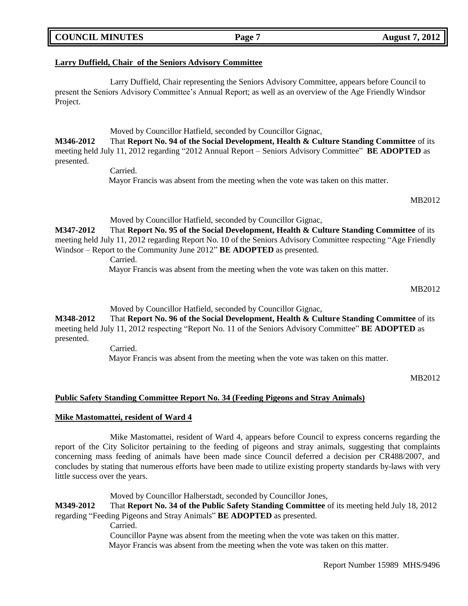# **COUNCIL MINUTES Page 7 August 7, 2012**

### **Larry Duffield, Chair of the Seniors Advisory Committee**

Larry Duffield, Chair representing the Seniors Advisory Committee, appears before Council to present the Seniors Advisory Committee's Annual Report; as well as an overview of the Age Friendly Windsor Project.

Moved by Councillor Hatfield, seconded by Councillor Gignac,

**M346-2012** That **Report No. 94 of the Social Development, Health & Culture Standing Committee** of its meeting held July 11, 2012 regarding "2012 Annual Report – Seniors Advisory Committee" **BE ADOPTED** as presented.

Carried.

Mayor Francis was absent from the meeting when the vote was taken on this matter.

MB2012

Moved by Councillor Hatfield, seconded by Councillor Gignac,

**M347-2012** That **Report No. 95 of the Social Development, Health & Culture Standing Committee** of its meeting held July 11, 2012 regarding Report No. 10 of the Seniors Advisory Committee respecting "Age Friendly Windsor – Report to the Community June 2012" **BE ADOPTED** as presented.

Carried.

Mayor Francis was absent from the meeting when the vote was taken on this matter.

MB2012

Moved by Councillor Hatfield, seconded by Councillor Gignac,

**M348-2012** That **Report No. 96 of the Social Development, Health & Culture Standing Committee** of its meeting held July 11, 2012 respecting "Report No. 11 of the Seniors Advisory Committee" **BE ADOPTED** as presented.

Carried.

Mayor Francis was absent from the meeting when the vote was taken on this matter.

MB2012

### **Public Safety Standing Committee Report No. 34 (Feeding Pigeons and Stray Animals)**

### **Mike Mastomattei, resident of Ward 4**

Mike Mastomattei, resident of Ward 4, appears before Council to express concerns regarding the report of the City Solicitor pertaining to the feeding of pigeons and stray animals, suggesting that complaints concerning mass feeding of animals have been made since Council deferred a decision per CR488/2007, and concludes by stating that numerous efforts have been made to utilize existing property standards by-laws with very little success over the years.

Moved by Councillor Halberstadt, seconded by Councillor Jones,

**M349-2012** That **Report No. 34 of the Public Safety Standing Committee** of its meeting held July 18, 2012 regarding "Feeding Pigeons and Stray Animals" **BE ADOPTED** as presented.

Carried.

Councillor Payne was absent from the meeting when the vote was taken on this matter. Mayor Francis was absent from the meeting when the vote was taken on this matter.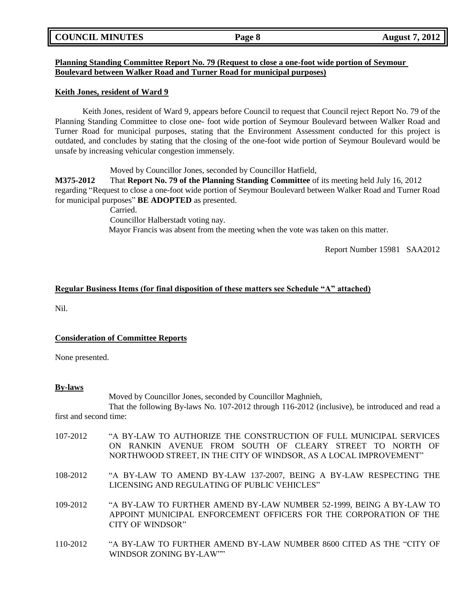| <b>COUNCIL MINUTES</b> |  |
|------------------------|--|
|------------------------|--|

### **Planning Standing Committee Report No. 79 (Request to close a one-foot wide portion of Seymour Boulevard between Walker Road and Turner Road for municipal purposes)**

### **Keith Jones, resident of Ward 9**

Keith Jones, resident of Ward 9, appears before Council to request that Council reject Report No. 79 of the Planning Standing Committee to close one- foot wide portion of Seymour Boulevard between Walker Road and Turner Road for municipal purposes, stating that the Environment Assessment conducted for this project is outdated, and concludes by stating that the closing of the one-foot wide portion of Seymour Boulevard would be unsafe by increasing vehicular congestion immensely.

Moved by Councillor Jones, seconded by Councillor Hatfield,

**M375-2012** That **Report No. 79 of the Planning Standing Committee** of its meeting held July 16, 2012 regarding "Request to close a one-foot wide portion of Seymour Boulevard between Walker Road and Turner Road for municipal purposes" **BE ADOPTED** as presented.

Carried.

Councillor Halberstadt voting nay. Mayor Francis was absent from the meeting when the vote was taken on this matter.

Report Number 15981 SAA2012

### **Regular Business Items (for final disposition of these matters see Schedule "A" attached)**

Nil.

### **Consideration of Committee Reports**

WINDSOR ZONING BY-LAW""

None presented.

#### **By-laws**

Moved by Councillor Jones, seconded by Councillor Maghnieh, That the following By-laws No. 107-2012 through 116-2012 (inclusive), be introduced and read a first and second time:

| 107-2012 | "A BY-LAW TO AUTHORIZE THE CONSTRUCTION OF FULL MUNICIPAL SERVICES<br>ON RANKIN AVENUE FROM SOUTH OF CLEARY STREET TO NORTH OF<br>NORTHWOOD STREET, IN THE CITY OF WINDSOR, AS A LOCAL IMPROVEMENT" |
|----------|-----------------------------------------------------------------------------------------------------------------------------------------------------------------------------------------------------|
| 108-2012 | "A BY-LAW TO AMEND BY-LAW 137-2007, BEING A BY-LAW RESPECTING THE<br>LICENSING AND REGULATING OF PUBLIC VEHICLES"                                                                                   |
| 109-2012 | "A BY-LAW TO FURTHER AMEND BY-LAW NUMBER 52-1999, BEING A BY-LAW TO<br>APPOINT MUNICIPAL ENFORCEMENT OFFICERS FOR THE CORPORATION OF THE<br>CITY OF WINDSOR"                                        |
| 110-2012 | "A BY-LAW TO FURTHER AMEND BY-LAW NUMBER 8600 CITED AS THE "CITY OF                                                                                                                                 |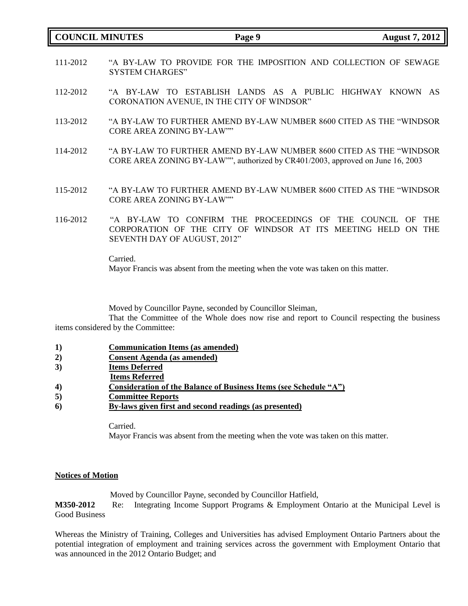### **COUNCIL MINUTES Page 9 August 7, 2012**

- 111-2012 "A BY-LAW TO PROVIDE FOR THE IMPOSITION AND COLLECTION OF SEWAGE SYSTEM CHARGES"
- 112-2012 "A BY-LAW TO ESTABLISH LANDS AS A PUBLIC HIGHWAY KNOWN AS CORONATION AVENUE, IN THE CITY OF WINDSOR"
- 113-2012 "A BY-LAW TO FURTHER AMEND BY-LAW NUMBER 8600 CITED AS THE "WINDSOR CORE AREA ZONING BY-LAW""
- 114-2012 "A BY-LAW TO FURTHER AMEND BY-LAW NUMBER 8600 CITED AS THE "WINDSOR CORE AREA ZONING BY-LAW"", authorized by CR401/2003, approved on June 16, 2003
- 115-2012 "A BY-LAW TO FURTHER AMEND BY-LAW NUMBER 8600 CITED AS THE "WINDSOR CORE AREA ZONING BY-LAW""
- 116-2012 "A BY-LAW TO CONFIRM THE PROCEEDINGS OF THE COUNCIL OF THE CORPORATION OF THE CITY OF WINDSOR AT ITS MEETING HELD ON THE SEVENTH DAY OF AUGUST, 2012"

Carried.

Mayor Francis was absent from the meeting when the vote was taken on this matter.

Moved by Councillor Payne, seconded by Councillor Sleiman,

That the Committee of the Whole does now rise and report to Council respecting the business items considered by the Committee:

- **1) Communication Items (as amended)**
- **2) Consent Agenda (as amended)**
- **3) Items Deferred**
- **Items Referred**
- **4) Consideration of the Balance of Business Items (see Schedule "A")**
- **5) Committee Reports**
- **6) By-laws given first and second readings (as presented)**

Carried.

Mayor Francis was absent from the meeting when the vote was taken on this matter.

### **Notices of Motion**

Moved by Councillor Payne, seconded by Councillor Hatfield,

**M350-2012** Re: Integrating Income Support Programs & Employment Ontario at the Municipal Level is Good Business

Whereas the Ministry of Training, Colleges and Universities has advised Employment Ontario Partners about the potential integration of employment and training services across the government with Employment Ontario that was announced in the 2012 Ontario Budget; and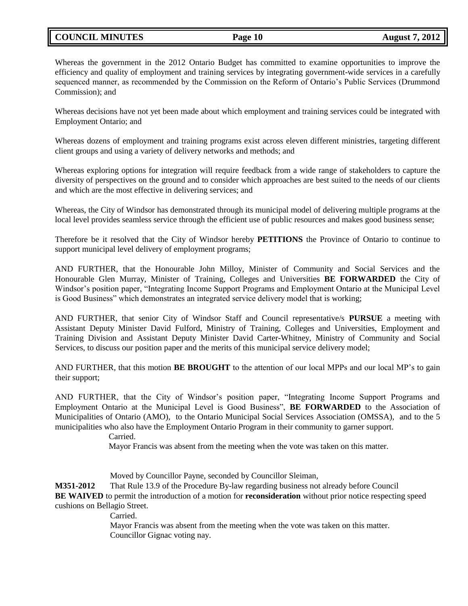# **COUNCIL MINUTES Page 10 August 7, 2012**

Whereas the government in the 2012 Ontario Budget has committed to examine opportunities to improve the efficiency and quality of employment and training services by integrating government-wide services in a carefully sequenced manner, as recommended by the Commission on the Reform of Ontario's Public Services (Drummond Commission); and

Whereas decisions have not yet been made about which employment and training services could be integrated with Employment Ontario; and

Whereas dozens of employment and training programs exist across eleven different ministries, targeting different client groups and using a variety of delivery networks and methods; and

Whereas exploring options for integration will require feedback from a wide range of stakeholders to capture the diversity of perspectives on the ground and to consider which approaches are best suited to the needs of our clients and which are the most effective in delivering services; and

Whereas, the City of Windsor has demonstrated through its municipal model of delivering multiple programs at the local level provides seamless service through the efficient use of public resources and makes good business sense;

Therefore be it resolved that the City of Windsor hereby **PETITIONS** the Province of Ontario to continue to support municipal level delivery of employment programs;

AND FURTHER, that the Honourable John Milloy, Minister of Community and Social Services and the Honourable Glen Murray, Minister of Training, Colleges and Universities **BE FORWARDED** the City of Windsor's position paper, "Integrating Income Support Programs and Employment Ontario at the Municipal Level is Good Business" which demonstrates an integrated service delivery model that is working;

AND FURTHER, that senior City of Windsor Staff and Council representative/s **PURSUE** a meeting with Assistant Deputy Minister David Fulford, Ministry of Training, Colleges and Universities, Employment and Training Division and Assistant Deputy Minister David Carter-Whitney, Ministry of Community and Social Services, to discuss our position paper and the merits of this municipal service delivery model;

AND FURTHER, that this motion **BE BROUGHT** to the attention of our local MPPs and our local MP's to gain their support;

AND FURTHER, that the City of Windsor's position paper, "Integrating Income Support Programs and Employment Ontario at the Municipal Level is Good Business", **BE FORWARDED** to the Association of Municipalities of Ontario (AMO), to the Ontario Municipal Social Services Association (OMSSA), and to the 5 municipalities who also have the Employment Ontario Program in their community to garner support.

Carried.

Mayor Francis was absent from the meeting when the vote was taken on this matter.

Moved by Councillor Payne, seconded by Councillor Sleiman,

**M351-2012** That Rule 13.9 of the Procedure By-law regarding business not already before Council **BE WAIVED** to permit the introduction of a motion for **reconsideration** without prior notice respecting speed cushions on Bellagio Street.

**Carried** 

Mayor Francis was absent from the meeting when the vote was taken on this matter. Councillor Gignac voting nay.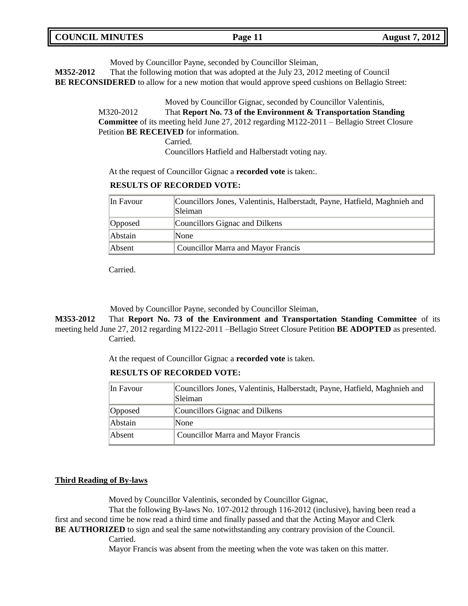| <b>COUNCIL MINUTES</b> | Page 11 | <b>August 7, 2012</b> |
|------------------------|---------|-----------------------|
|                        |         |                       |

Moved by Councillor Payne, seconded by Councillor Sleiman,

**M352-2012** That the following motion that was adopted at the July 23, 2012 meeting of Council **BE RECONSIDERED** to allow for a new motion that would approve speed cushions on Bellagio Street:

> Moved by Councillor Gignac, seconded by Councillor Valentinis, M320-2012 That **Report No. 73 of the Environment & Transportation Standing Committee** of its meeting held June 27, 2012 regarding M122-2011 – Bellagio Street Closure Petition **BE RECEIVED** for information.

> > Councillors Hatfield and Halberstadt voting nay.

At the request of Councillor Gignac a **recorded vote** is taken:.

### **RESULTS OF RECORDED VOTE:**

Carried.

| In Favour | Councillors Jones, Valentinis, Halberstadt, Payne, Hatfield, Maghnieh and<br> Sleiman |
|-----------|---------------------------------------------------------------------------------------|
| Opposed   | Councillors Gignac and Dilkens                                                        |
| Abstain   | <b>None</b>                                                                           |
| Absent    | Councillor Marra and Mayor Francis                                                    |

Carried.

Moved by Councillor Payne, seconded by Councillor Sleiman,

**M353-2012** That **Report No. 73 of the Environment and Transportation Standing Committee** of its meeting held June 27, 2012 regarding M122-2011 –Bellagio Street Closure Petition **BE ADOPTED** as presented. Carried.

At the request of Councillor Gignac a **recorded vote** is taken.

**RESULTS OF RECORDED VOTE:**

| In Favour | Councillors Jones, Valentinis, Halberstadt, Payne, Hatfield, Maghnieh and<br><b>Sleiman</b> |
|-----------|---------------------------------------------------------------------------------------------|
| Opposed   | Councillors Gignac and Dilkens                                                              |
| Abstain   | <b>None</b>                                                                                 |
| Absent    | Councillor Marra and Mayor Francis                                                          |

#### **Third Reading of By-laws**

Moved by Councillor Valentinis, seconded by Councillor Gignac,

That the following By-laws No. 107-2012 through 116-2012 (inclusive), having been read a first and second time be now read a third time and finally passed and that the Acting Mayor and Clerk **BE AUTHORIZED** to sign and seal the same notwithstanding any contrary provision of the Council.

Carried.

Mayor Francis was absent from the meeting when the vote was taken on this matter.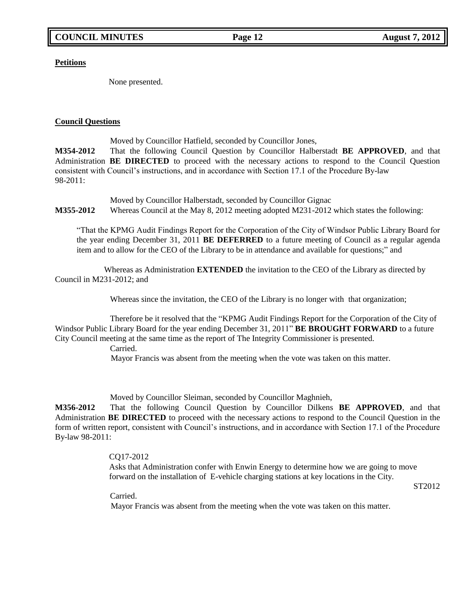**Petitions**

None presented.

### **Council Questions**

Moved by Councillor Hatfield, seconded by Councillor Jones,

**M354-2012** That the following Council Question by Councillor Halberstadt **BE APPROVED**, and that Administration **BE DIRECTED** to proceed with the necessary actions to respond to the Council Question consistent with Council's instructions, and in accordance with Section 17.1 of the Procedure By-law 98-2011:

Moved by Councillor Halberstadt, seconded by Councillor Gignac **M355-2012** Whereas Council at the May 8, 2012 meeting adopted M231-2012 which states the following:

"That the KPMG Audit Findings Report for the Corporation of the City of Windsor Public Library Board for the year ending December 31, 2011 **BE DEFERRED** to a future meeting of Council as a regular agenda item and to allow for the CEO of the Library to be in attendance and available for questions;" and

Whereas as Administration **EXTENDED** the invitation to the CEO of the Library as directed by Council in M231-2012; and

Whereas since the invitation, the CEO of the Library is no longer with that organization;

Therefore be it resolved that the "KPMG Audit Findings Report for the Corporation of the City of Windsor Public Library Board for the year ending December 31, 2011" **BE BROUGHT FORWARD** to a future City Council meeting at the same time as the report of The Integrity Commissioner is presented.

Carried.

Mayor Francis was absent from the meeting when the vote was taken on this matter.

Moved by Councillor Sleiman, seconded by Councillor Maghnieh,

**M356-2012** That the following Council Question by Councillor Dilkens **BE APPROVED**, and that Administration **BE DIRECTED** to proceed with the necessary actions to respond to the Council Question in the form of written report, consistent with Council's instructions, and in accordance with Section 17.1 of the Procedure By-law 98-2011:

### CQ17-2012

Asks that Administration confer with Enwin Energy to determine how we are going to move forward on the installation of E-vehicle charging stations at key locations in the City.

ST2012

Carried.

Mayor Francis was absent from the meeting when the vote was taken on this matter.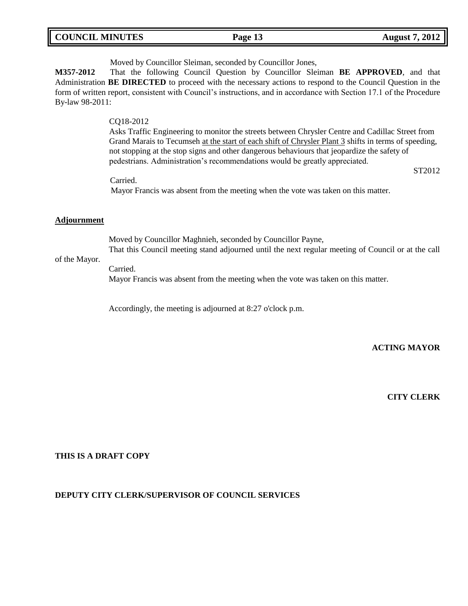| <b>COUNCIL MINUTES</b> | Page 13 | <b>August 7, 2012</b> |
|------------------------|---------|-----------------------|
|                        |         |                       |

Moved by Councillor Sleiman, seconded by Councillor Jones,

**M357-2012** That the following Council Question by Councillor Sleiman **BE APPROVED**, and that Administration **BE DIRECTED** to proceed with the necessary actions to respond to the Council Question in the form of written report, consistent with Council's instructions, and in accordance with Section 17.1 of the Procedure By-law 98-2011:

### CQ18-2012

Asks Traffic Engineering to monitor the streets between Chrysler Centre and Cadillac Street from Grand Marais to Tecumseh at the start of each shift of Chrysler Plant 3 shifts in terms of speeding, not stopping at the stop signs and other dangerous behaviours that jeopardize the safety of pedestrians. Administration's recommendations would be greatly appreciated.

ST2012

Carried.

Mayor Francis was absent from the meeting when the vote was taken on this matter.

#### **Adjournment**

Moved by Councillor Maghnieh, seconded by Councillor Payne, That this Council meeting stand adjourned until the next regular meeting of Council or at the call

#### of the Mayor.

Carried.

Mayor Francis was absent from the meeting when the vote was taken on this matter.

Accordingly, the meeting is adjourned at 8:27 o'clock p.m.

**ACTING MAYOR**

### **CITY CLERK**

### **THIS IS A DRAFT COPY**

#### **DEPUTY CITY CLERK/SUPERVISOR OF COUNCIL SERVICES**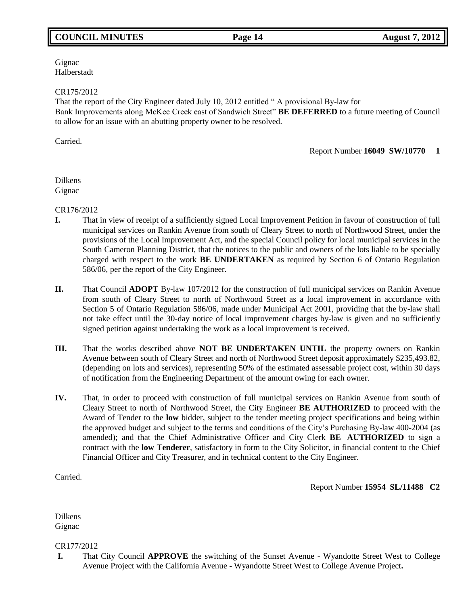# **COUNCIL MINUTES Page 14 August 7, 2012**

Gignac Halberstadt

CR175/2012

That the report of the City Engineer dated July 10, 2012 entitled " A provisional By-law for Bank Improvements along McKee Creek east of Sandwich Street" **BE DEFERRED** to a future meeting of Council to allow for an issue with an abutting property owner to be resolved.

Carried.

Report Number **16049 SW/10770 1**

Dilkens Gignac

CR176/2012

- **I.** That in view of receipt of a sufficiently signed Local Improvement Petition in favour of construction of full municipal services on Rankin Avenue from south of Cleary Street to north of Northwood Street, under the provisions of the Local Improvement Act, and the special Council policy for local municipal services in the South Cameron Planning District, that the notices to the public and owners of the lots liable to be specially charged with respect to the work **BE UNDERTAKEN** as required by Section 6 of Ontario Regulation 586/06, per the report of the City Engineer.
- **II.** That Council **ADOPT** By-law 107/2012 for the construction of full municipal services on Rankin Avenue from south of Cleary Street to north of Northwood Street as a local improvement in accordance with Section 5 of Ontario Regulation 586/06, made under Municipal Act 2001, providing that the by-law shall not take effect until the 30-day notice of local improvement charges by-law is given and no sufficiently signed petition against undertaking the work as a local improvement is received.
- **III.** That the works described above **NOT BE UNDERTAKEN UNTIL** the property owners on Rankin Avenue between south of Cleary Street and north of Northwood Street deposit approximately \$235,493.82, (depending on lots and services), representing 50% of the estimated assessable project cost, within 30 days of notification from the Engineering Department of the amount owing for each owner.
- **IV.** That, in order to proceed with construction of full municipal services on Rankin Avenue from south of Cleary Street to north of Northwood Street, the City Engineer **BE AUTHORIZED** to proceed with the Award of Tender to the **low** bidder, subject to the tender meeting project specifications and being within the approved budget and subject to the terms and conditions of the City's Purchasing By-law 400-2004 (as amended); and that the Chief Administrative Officer and City Clerk **BE AUTHORIZED** to sign a contract with the **low Tenderer**, satisfactory in form to the City Solicitor, in financial content to the Chief Financial Officer and City Treasurer, and in technical content to the City Engineer.

Carried.

Report Number **15954 SL/11488 C2**

Dilkens Gignac

CR177/2012

**I.** That City Council **APPROVE** the switching of the Sunset Avenue - Wyandotte Street West to College Avenue Project with the California Avenue - Wyandotte Street West to College Avenue Project**.**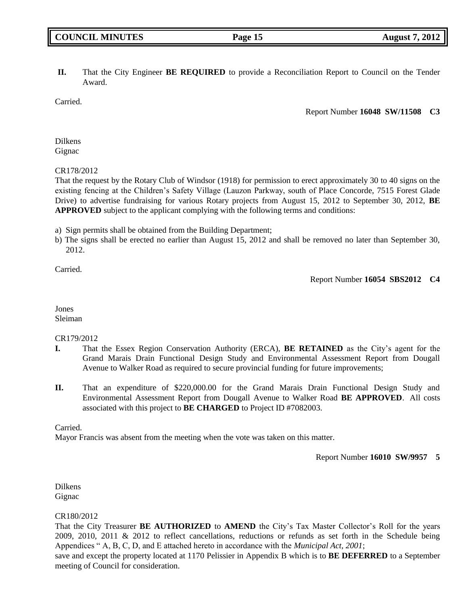### **II.** That the City Engineer **BE REQUIRED** to provide a Reconciliation Report to Council on the Tender Award.

Carried.

Report Number **16048 SW/11508 C3**

Dilkens **Gignac** 

CR178/2012

That the request by the Rotary Club of Windsor (1918) for permission to erect approximately 30 to 40 signs on the existing fencing at the Children's Safety Village (Lauzon Parkway, south of Place Concorde, 7515 Forest Glade Drive) to advertise fundraising for various Rotary projects from August 15, 2012 to September 30, 2012, **BE APPROVED** subject to the applicant complying with the following terms and conditions:

a) Sign permits shall be obtained from the Building Department;

b) The signs shall be erected no earlier than August 15, 2012 and shall be removed no later than September 30, 2012.

Carried.

Report Number **16054 SBS2012 C4**

Jones Sleiman

CR179/2012

- **I.** That the Essex Region Conservation Authority (ERCA), **BE RETAINED** as the City's agent for the Grand Marais Drain Functional Design Study and Environmental Assessment Report from Dougall Avenue to Walker Road as required to secure provincial funding for future improvements;
- **II.** That an expenditure of \$220,000.00 for the Grand Marais Drain Functional Design Study and Environmental Assessment Report from Dougall Avenue to Walker Road **BE APPROVED**. All costs associated with this project to **BE CHARGED** to Project ID #7082003.

Carried.

Mayor Francis was absent from the meeting when the vote was taken on this matter.

Report Number **16010 SW/9957 5**

Dilkens Gignac

### CR180/2012

That the City Treasurer **BE AUTHORIZED** to **AMEND** the City's Tax Master Collector's Roll for the years 2009, 2010, 2011 & 2012 to reflect cancellations, reductions or refunds as set forth in the Schedule being Appendices " A, B, C, D, and E attached hereto in accordance with the *Municipal Act, 2001*;

save and except the property located at 1170 Pelissier in Appendix B which is to **BE DEFERRED** to a September meeting of Council for consideration.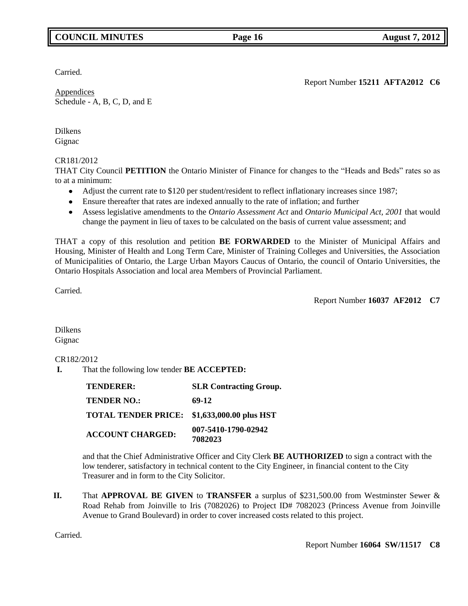# **COUNCIL MINUTES Page 16 August 7, 2012**

Carried.

Report Number **15211 AFTA2012 C6**

Appendices Schedule - A, B, C, D, and E

Dilkens Gignac

CR181/2012

THAT City Council **PETITION** the Ontario Minister of Finance for changes to the "Heads and Beds" rates so as to at a minimum:

- Adjust the current rate to \$120 per student/resident to reflect inflationary increases since 1987;
- Ensure thereafter that rates are indexed annually to the rate of inflation; and further
- Assess legislative amendments to the *Ontario Assessment Act* and *Ontario Municipal Act, 2001* that would change the payment in lieu of taxes to be calculated on the basis of current value assessment; and

THAT a copy of this resolution and petition **BE FORWARDED** to the Minister of Municipal Affairs and Housing, Minister of Health and Long Term Care, Minister of Training Colleges and Universities, the Association of Municipalities of Ontario, the Large Urban Mayors Caucus of Ontario, the council of Ontario Universities, the Ontario Hospitals Association and local area Members of Provincial Parliament.

Carried.

Report Number **16037 AF2012 C7**

Dilkens Gignac

## CR182/2012

**I.** That the following low tender **BE ACCEPTED:**

| <b>TENDERER:</b>           | <b>SLR Contracting Group.</b>  |
|----------------------------|--------------------------------|
| <b>TENDER NO.:</b>         | 69-12                          |
| <b>TOTAL TENDER PRICE:</b> | \$1,633,000.00 plus HST        |
| <b>ACCOUNT CHARGED:</b>    | 007-5410-1790-02942<br>7082023 |

and that the Chief Administrative Officer and City Clerk **BE AUTHORIZED** to sign a contract with the low tenderer, satisfactory in technical content to the City Engineer, in financial content to the City Treasurer and in form to the City Solicitor.

**II.** That **APPROVAL BE GIVEN** to **TRANSFER** a surplus of \$231,500.00 from Westminster Sewer & Road Rehab from Joinville to Iris (7082026) to Project ID# 7082023 (Princess Avenue from Joinville Avenue to Grand Boulevard) in order to cover increased costs related to this project.

Carried.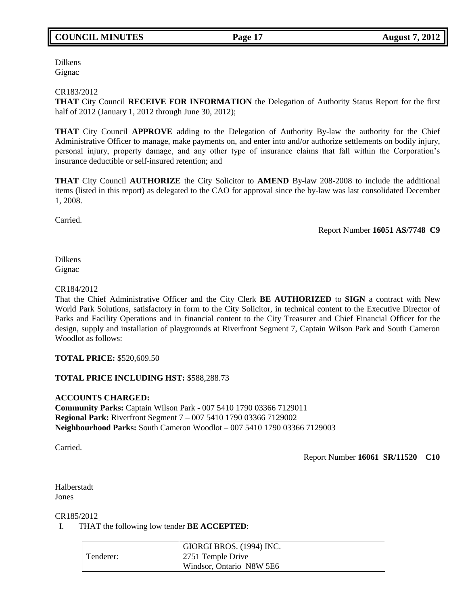Dilkens Gignac

CR183/2012

**THAT** City Council **RECEIVE FOR INFORMATION** the Delegation of Authority Status Report for the first half of 2012 (January 1, 2012 through June 30, 2012);

**THAT** City Council **APPROVE** adding to the Delegation of Authority By-law the authority for the Chief Administrative Officer to manage, make payments on, and enter into and/or authorize settlements on bodily injury, personal injury, property damage, and any other type of insurance claims that fall within the Corporation's insurance deductible or self-insured retention; and

**THAT** City Council **AUTHORIZE** the City Solicitor to **AMEND** By-law 208-2008 to include the additional items (listed in this report) as delegated to the CAO for approval since the by-law was last consolidated December 1, 2008.

Carried.

Report Number **16051 AS/7748 C9**

Dilkens Gignac

### CR184/2012

That the Chief Administrative Officer and the City Clerk **BE AUTHORIZED** to **SIGN** a contract with New World Park Solutions, satisfactory in form to the City Solicitor, in technical content to the Executive Director of Parks and Facility Operations and in financial content to the City Treasurer and Chief Financial Officer for the design, supply and installation of playgrounds at Riverfront Segment 7, Captain Wilson Park and South Cameron Woodlot as follows:

### **TOTAL PRICE:** \$520,609.50

### **TOTAL PRICE INCLUDING HST:** \$588,288.73

**ACCOUNTS CHARGED: Community Parks:** Captain Wilson Park - 007 5410 1790 03366 7129011 **Regional Park:** Riverfront Segment 7 – 007 5410 1790 03366 7129002 **Neighbourhood Parks:** South Cameron Woodlot – 007 5410 1790 03366 7129003

Carried.

Report Number **16061 SR/11520 C10**

Halberstadt Jones

CR185/2012

I. THAT the following low tender **BE ACCEPTED**:

|           | GIORGI BROS. (1994) INC. |
|-----------|--------------------------|
| Tenderer: | 2751 Temple Drive        |
|           | Windsor, Ontario N8W 5E6 |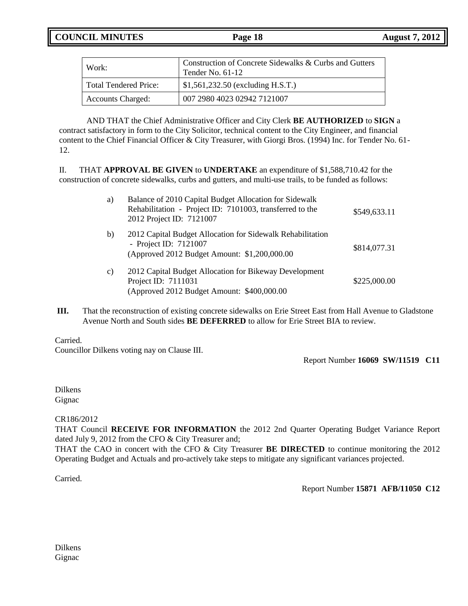| Work:                        | Construction of Concrete Sidewalks & Curbs and Gutters<br>Tender No. $61-12$ |
|------------------------------|------------------------------------------------------------------------------|
| <b>Total Tendered Price:</b> | $\frac{1}{2}$ \$1,561,232.50 (excluding H.S.T.)                              |
| <b>Accounts Charged:</b>     | 007 2980 4023 02942 7121007                                                  |

 AND THAT the Chief Administrative Officer and City Clerk **BE AUTHORIZED** to **SIGN** a contract satisfactory in form to the City Solicitor, technical content to the City Engineer, and financial content to the Chief Financial Officer & City Treasurer, with Giorgi Bros. (1994) Inc. for Tender No. 61-12.

II. THAT **APPROVAL BE GIVEN** to **UNDERTAKE** an expenditure of \$1,588,710.42 for the construction of concrete sidewalks, curbs and gutters, and multi-use trails, to be funded as follows:

| a) | Balance of 2010 Capital Budget Allocation for Sidewalk<br>Rehabilitation - Project ID: 7101003, transferred to the<br>2012 Project ID: 7121007 | \$549,633.11 |
|----|------------------------------------------------------------------------------------------------------------------------------------------------|--------------|
| b) | 2012 Capital Budget Allocation for Sidewalk Rehabilitation<br>- Project ID: 7121007<br>(Approved 2012 Budget Amount: \$1,200,000.00            | \$814,077.31 |
| c) | 2012 Capital Budget Allocation for Bikeway Development<br>Project ID: 7111031<br>(Approved 2012 Budget Amount: \$400,000.00                    | \$225,000.00 |

**III.** That the reconstruction of existing concrete sidewalks on Erie Street East from Hall Avenue to Gladstone Avenue North and South sides **BE DEFERRED** to allow for Erie Street BIA to review.

### Carried.

Councillor Dilkens voting nay on Clause III.

Report Number **16069 SW/11519 C11**

Dilkens Gignac

CR186/2012

THAT Council **RECEIVE FOR INFORMATION** the 2012 2nd Quarter Operating Budget Variance Report dated July 9, 2012 from the CFO & City Treasurer and;

THAT the CAO in concert with the CFO & City Treasurer **BE DIRECTED** to continue monitoring the 2012 Operating Budget and Actuals and pro-actively take steps to mitigate any significant variances projected.

Carried.

Report Number **15871 AFB/11050 C12**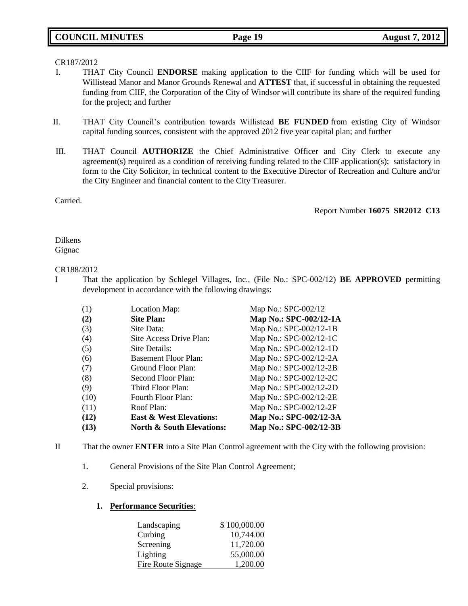### CR187/2012

- I. THAT City Council **ENDORSE** making application to the CIIF for funding which will be used for Willistead Manor and Manor Grounds Renewal and **ATTEST** that, if successful in obtaining the requested funding from CIIF, the Corporation of the City of Windsor will contribute its share of the required funding for the project; and further
- II. THAT City Council's contribution towards Willistead **BE FUNDED** from existing City of Windsor capital funding sources, consistent with the approved 2012 five year capital plan; and further
- III. THAT Council **AUTHORIZE** the Chief Administrative Officer and City Clerk to execute any agreement(s) required as a condition of receiving funding related to the CIIF application(s); satisfactory in form to the City Solicitor, in technical content to the Executive Director of Recreation and Culture and/or the City Engineer and financial content to the City Treasurer.

Carried.

Report Number **16075 SR2012 C13**

Dilkens Gignac

### CR188/2012

I That the application by Schlegel Villages, Inc., (File No.: SPC-002/12) **BE APPROVED** permitting development in accordance with the following drawings:

| (13) | <b>North &amp; South Elevations:</b> | Map No.: SPC-002/12-3B |
|------|--------------------------------------|------------------------|
| (12) | <b>East &amp; West Elevations:</b>   | Map No.: SPC-002/12-3A |
| (11) | Roof Plan:                           | Map No.: SPC-002/12-2F |
| (10) | Fourth Floor Plan:                   | Map No.: SPC-002/12-2E |
| (9)  | Third Floor Plan:                    | Map No.: SPC-002/12-2D |
| (8)  | Second Floor Plan:                   | Map No.: SPC-002/12-2C |
| (7)  | Ground Floor Plan:                   | Map No.: SPC-002/12-2B |
| (6)  | <b>Basement Floor Plan:</b>          | Map No.: SPC-002/12-2A |
| (5)  | Site Details:                        | Map No.: SPC-002/12-1D |
| (4)  | Site Access Drive Plan:              | Map No.: SPC-002/12-1C |
| (3)  | Site Data:                           | Map No.: SPC-002/12-1B |
| (2)  | <b>Site Plan:</b>                    | Map No.: SPC-002/12-1A |
| (1)  | Location Map:                        | Map No.: SPC-002/12    |
|      |                                      |                        |

- II That the owner **ENTER** into a Site Plan Control agreement with the City with the following provision:
	- 1. General Provisions of the Site Plan Control Agreement;
	- 2. Special provisions:
		- **1. Performance Securities**:

| Landscaping        | \$100,000.00 |
|--------------------|--------------|
| Curbing            | 10,744.00    |
| Screening          | 11,720.00    |
| Lighting           | 55,000.00    |
| Fire Route Signage | 1,200.00     |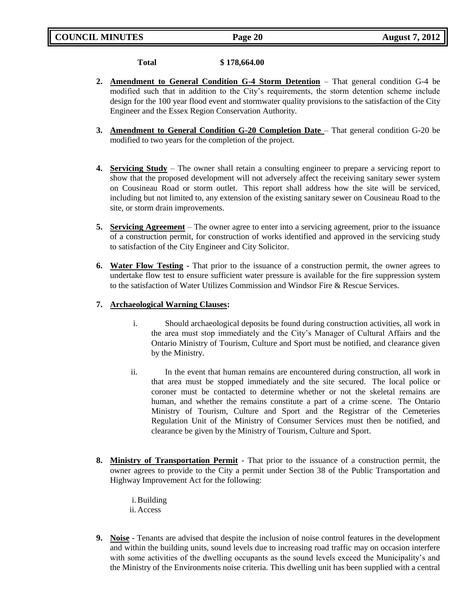**Total \$ 178,664.00**

- **2. Amendment to General Condition G-4 Storm Detention** That general condition G-4 be modified such that in addition to the City's requirements, the storm detention scheme include design for the 100 year flood event and stormwater quality provisions to the satisfaction of the City Engineer and the Essex Region Conservation Authority.
- **3. Amendment to General Condition G-20 Completion Date** That general condition G-20 be modified to two years for the completion of the project.
- **4. Servicing Study** The owner shall retain a consulting engineer to prepare a servicing report to show that the proposed development will not adversely affect the receiving sanitary sewer system on Cousineau Road or storm outlet. This report shall address how the site will be serviced, including but not limited to, any extension of the existing sanitary sewer on Cousineau Road to the site, or storm drain improvements.
- **5. Servicing Agreement** The owner agree to enter into a servicing agreement, prior to the issuance of a construction permit, for construction of works identified and approved in the servicing study to satisfaction of the City Engineer and City Solicitor.
- **6. Water Flow Testing -** That prior to the issuance of a construction permit, the owner agrees to undertake flow test to ensure sufficient water pressure is available for the fire suppression system to the satisfaction of Water Utilizes Commission and Windsor Fire & Rescue Services.

### **7. Archaeological Warning Clauses:**

- i. Should archaeological deposits be found during construction activities, all work in the area must stop immediately and the City's Manager of Cultural Affairs and the Ontario Ministry of Tourism, Culture and Sport must be notified, and clearance given by the Ministry.
- ii. In the event that human remains are encountered during construction, all work in that area must be stopped immediately and the site secured. The local police or coroner must be contacted to determine whether or not the skeletal remains are human, and whether the remains constitute a part of a crime scene. The Ontario Ministry of Tourism, Culture and Sport and the Registrar of the Cemeteries Regulation Unit of the Ministry of Consumer Services must then be notified, and clearance be given by the Ministry of Tourism, Culture and Sport.
- **8. Ministry of Transportation Permit** That prior to the issuance of a construction permit, the owner agrees to provide to the City a permit under Section 38 of the Public Transportation and Highway Improvement Act for the following:
	- i.Building ii. Access
- **9. Noise** Tenants are advised that despite the inclusion of noise control features in the development and within the building units, sound levels due to increasing road traffic may on occasion interfere with some activities of the dwelling occupants as the sound levels exceed the Municipality's and the Ministry of the Environments noise criteria. This dwelling unit has been supplied with a central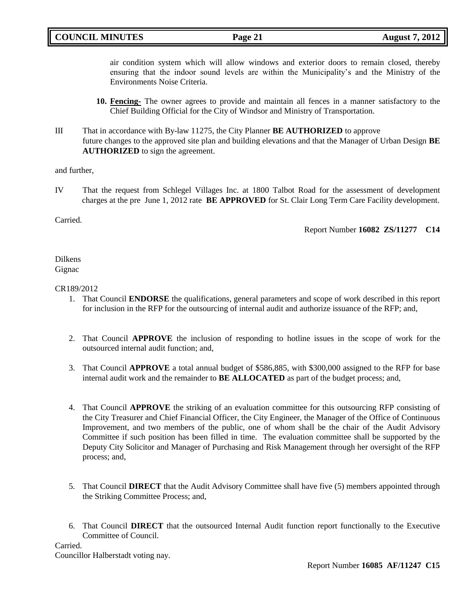air condition system which will allow windows and exterior doors to remain closed, thereby ensuring that the indoor sound levels are within the Municipality's and the Ministry of the Environments Noise Criteria.

- **10. Fencing-** The owner agrees to provide and maintain all fences in a manner satisfactory to the Chief Building Official for the City of Windsor and Ministry of Transportation.
- III That in accordance with By-law 11275, the City Planner **BE AUTHORIZED** to approve future changes to the approved site plan and building elevations and that the Manager of Urban Design **BE AUTHORIZED** to sign the agreement.

and further,

IV That the request from Schlegel Villages Inc. at 1800 Talbot Road for the assessment of development charges at the pre June 1, 2012 rate **BE APPROVED** for St. Clair Long Term Care Facility development.

Carried.

Report Number **16082 ZS/11277 C14**

Dilkens Gignac

### CR189/2012

- 1. That Council **ENDORSE** the qualifications, general parameters and scope of work described in this report for inclusion in the RFP for the outsourcing of internal audit and authorize issuance of the RFP; and,
- 2. That Council **APPROVE** the inclusion of responding to hotline issues in the scope of work for the outsourced internal audit function; and,
- 3. That Council **APPROVE** a total annual budget of \$586,885, with \$300,000 assigned to the RFP for base internal audit work and the remainder to **BE ALLOCATED** as part of the budget process; and,
- 4. That Council **APPROVE** the striking of an evaluation committee for this outsourcing RFP consisting of the City Treasurer and Chief Financial Officer, the City Engineer, the Manager of the Office of Continuous Improvement, and two members of the public, one of whom shall be the chair of the Audit Advisory Committee if such position has been filled in time. The evaluation committee shall be supported by the Deputy City Solicitor and Manager of Purchasing and Risk Management through her oversight of the RFP process; and,
- 5. That Council **DIRECT** that the Audit Advisory Committee shall have five (5) members appointed through the Striking Committee Process; and,
- 6. That Council **DIRECT** that the outsourced Internal Audit function report functionally to the Executive Committee of Council.

Carried. Councillor Halberstadt voting nay.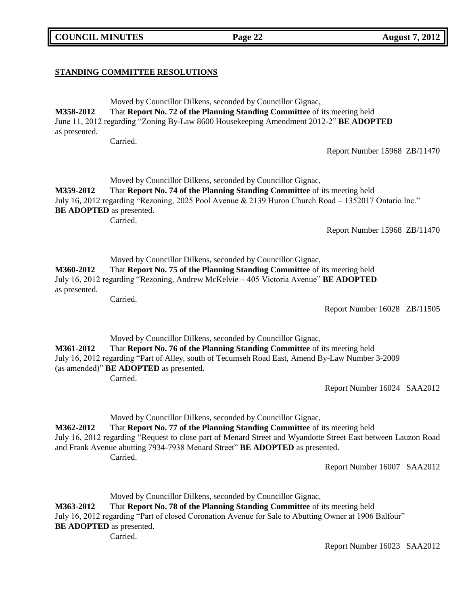**COUNCIL MINUTES Page 22 August 7, 2012**

### **STANDING COMMITTEE RESOLUTIONS**

Moved by Councillor Dilkens, seconded by Councillor Gignac, **M358-2012** That **Report No. 72 of the Planning Standing Committee** of its meeting held June 11, 2012 regarding "Zoning By-Law 8600 Housekeeping Amendment 2012-2" **BE ADOPTED** as presented.

Carried.

Report Number 15968 ZB/11470

Moved by Councillor Dilkens, seconded by Councillor Gignac, **M359-2012** That **Report No. 74 of the Planning Standing Committee** of its meeting held July 16, 2012 regarding "Rezoning, 2025 Pool Avenue & 2139 Huron Church Road – 1352017 Ontario Inc." **BE ADOPTED** as presented.

Carried.

Report Number 15968 ZB/11470

Moved by Councillor Dilkens, seconded by Councillor Gignac,

**M360-2012** That **Report No. 75 of the Planning Standing Committee** of its meeting held July 16, 2012 regarding "Rezoning, Andrew McKelvie – 405 Victoria Avenue" **BE ADOPTED** as presented.

Carried.

Report Number 16028 ZB/11505

Moved by Councillor Dilkens, seconded by Councillor Gignac, **M361-2012** That **Report No. 76 of the Planning Standing Committee** of its meeting held July 16, 2012 regarding "Part of Alley, south of Tecumseh Road East, Amend By-Law Number 3-2009 (as amended)" **BE ADOPTED** as presented. Carried.

Report Number 16024 SAA2012

Moved by Councillor Dilkens, seconded by Councillor Gignac,

**M362-2012** That **Report No. 77 of the Planning Standing Committee** of its meeting held July 16, 2012 regarding "Request to close part of Menard Street and Wyandotte Street East between Lauzon Road and Frank Avenue abutting 7934-7938 Menard Street" **BE ADOPTED** as presented. Carried.

Report Number 16007 SAA2012

Moved by Councillor Dilkens, seconded by Councillor Gignac, **M363-2012** That **Report No. 78 of the Planning Standing Committee** of its meeting held July 16, 2012 regarding "Part of closed Coronation Avenue for Sale to Abutting Owner at 1906 Balfour" **BE ADOPTED** as presented. Carried.

Report Number 16023 SAA2012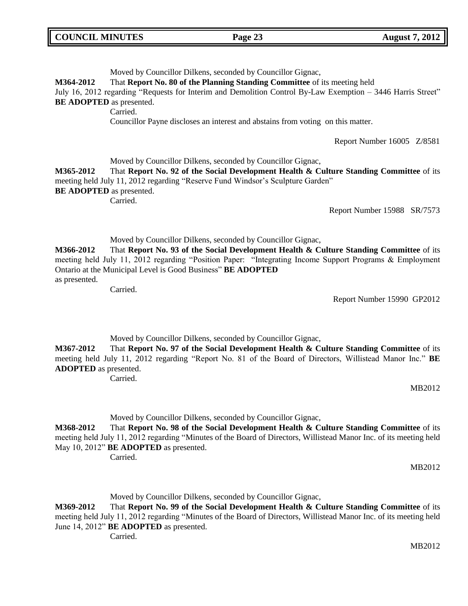| <b>COUNCIL MINUTES</b> | Page 23 | <b>August 7, 2012</b> |
|------------------------|---------|-----------------------|
|                        |         |                       |

| M364-2012<br><b>BE ADOPTED</b> as presented. | Moved by Councillor Dilkens, seconded by Councillor Gignac,<br>That Report No. 80 of the Planning Standing Committee of its meeting held<br>July 16, 2012 regarding "Requests for Interim and Demolition Control By-Law Exemption – 3446 Harris Street"<br>Carried.<br>Councillor Payne discloses an interest and abstains from voting on this matter. |                             |
|----------------------------------------------|--------------------------------------------------------------------------------------------------------------------------------------------------------------------------------------------------------------------------------------------------------------------------------------------------------------------------------------------------------|-----------------------------|
|                                              |                                                                                                                                                                                                                                                                                                                                                        | Report Number 16005 Z/8581  |
| M365-2012<br><b>BE ADOPTED</b> as presented. | Moved by Councillor Dilkens, seconded by Councillor Gignac,<br>That Report No. 92 of the Social Development Health & Culture Standing Committee of its<br>meeting held July 11, 2012 regarding "Reserve Fund Windsor's Sculpture Garden"<br>Carried.                                                                                                   | Report Number 15988 SR/7573 |
| M366-2012<br>as presented.                   | Moved by Councillor Dilkens, seconded by Councillor Gignac,<br>That Report No. 93 of the Social Development Health & Culture Standing Committee of its<br>meeting held July 11, 2012 regarding "Position Paper: "Integrating Income Support Programs & Employment<br>Ontario at the Municipal Level is Good Business" BE ADOPTED                       |                             |

Carried.

Report Number 15990 GP2012

Moved by Councillor Dilkens, seconded by Councillor Gignac,

**M367-2012** That **Report No. 97 of the Social Development Health & Culture Standing Committee** of its meeting held July 11, 2012 regarding "Report No. 81 of the Board of Directors, Willistead Manor Inc." **BE ADOPTED** as presented.

Carried.

MB2012

Moved by Councillor Dilkens, seconded by Councillor Gignac,

**M368-2012** That **Report No. 98 of the Social Development Health & Culture Standing Committee** of its meeting held July 11, 2012 regarding "Minutes of the Board of Directors, Willistead Manor Inc. of its meeting held May 10, 2012" **BE ADOPTED** as presented.

Carried.

MB2012

Moved by Councillor Dilkens, seconded by Councillor Gignac,

**M369-2012** That **Report No. 99 of the Social Development Health & Culture Standing Committee** of its meeting held July 11, 2012 regarding "Minutes of the Board of Directors, Willistead Manor Inc. of its meeting held June 14, 2012" **BE ADOPTED** as presented.

Carried.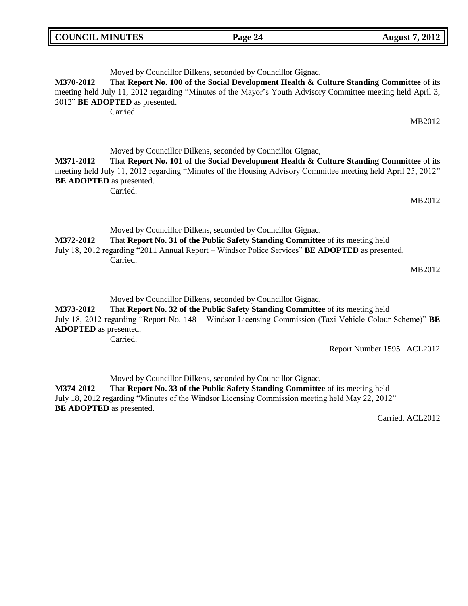| <b>COUNCIL MINUTES</b> |                                            | Page 24                                                                                                                                                                                                                                                                | <b>August 7, 2012</b> |
|------------------------|--------------------------------------------|------------------------------------------------------------------------------------------------------------------------------------------------------------------------------------------------------------------------------------------------------------------------|-----------------------|
| M370-2012              | 2012" BE ADOPTED as presented.<br>Carried. | Moved by Councillor Dilkens, seconded by Councillor Gignac,<br>That Report No. 100 of the Social Development Health & Culture Standing Committee of its<br>meeting held July 11, 2012 regarding "Minutes of the Mayor's Youth Advisory Committee meeting held April 3, | MB2012                |

Moved by Councillor Dilkens, seconded by Councillor Gignac, **M371-2012** That **Report No. 101 of the Social Development Health & Culture Standing Committee** of its meeting held July 11, 2012 regarding "Minutes of the Housing Advisory Committee meeting held April 25, 2012" **BE ADOPTED** as presented.

Carried.

MB2012

Moved by Councillor Dilkens, seconded by Councillor Gignac,

**M372-2012** That **Report No. 31 of the Public Safety Standing Committee** of its meeting held July 18, 2012 regarding "2011 Annual Report – Windsor Police Services" **BE ADOPTED** as presented. Carried.

MB2012

Moved by Councillor Dilkens, seconded by Councillor Gignac,

**M373-2012** That **Report No. 32 of the Public Safety Standing Committee** of its meeting held July 18, 2012 regarding "Report No. 148 – Windsor Licensing Commission (Taxi Vehicle Colour Scheme)" **BE ADOPTED** as presented.

Carried.

Report Number 1595 ACL2012

Moved by Councillor Dilkens, seconded by Councillor Gignac,

**M374-2012** That **Report No. 33 of the Public Safety Standing Committee** of its meeting held July 18, 2012 regarding "Minutes of the Windsor Licensing Commission meeting held May 22, 2012" **BE ADOPTED** as presented.

Carried. ACL2012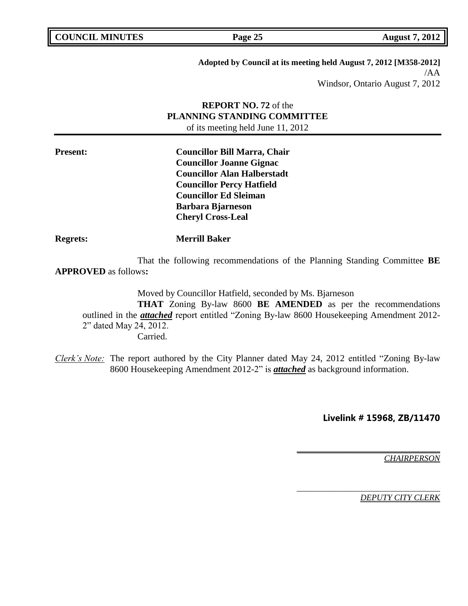| <b>COUNCIL MINUTES</b> |  |
|------------------------|--|
|------------------------|--|

**Page 25 August 7, 2012** 

**Adopted by Council at its meeting held August 7, 2012 [M358-2012]** /AA

Windsor, Ontario August 7, 2012

# **REPORT NO. 72** of the **PLANNING STANDING COMMITTEE** of its meeting held June 11, 2012

**Present: Councillor Bill Marra, Chair Councillor Joanne Gignac Councillor Alan Halberstadt Councillor Percy Hatfield Councillor Ed Sleiman Barbara Bjarneson Cheryl Cross-Leal**

**Regrets: Merrill Baker**

That the following recommendations of the Planning Standing Committee **BE APPROVED** as follows**:** 

Moved by Councillor Hatfield, seconded by Ms. Bjarneson **THAT** Zoning By-law 8600 **BE AMENDED** as per the recommendations outlined in the *attached* report entitled "Zoning By-law 8600 Housekeeping Amendment 2012- 2" dated May 24, 2012. Carried.

*Clerk's Note:* The report authored by the City Planner dated May 24, 2012 entitled "Zoning By-law 8600 Housekeeping Amendment 2012-2" is *attached* as background information.

**Livelink # 15968, ZB/11470**

**\_\_\_\_\_\_\_\_\_\_\_\_\_\_\_\_\_\_\_\_\_\_\_\_\_\_\_\_\_\_\_\_\_\_**

\_\_\_\_\_\_\_\_\_\_\_\_\_\_\_\_\_\_\_\_\_\_\_\_\_\_\_\_\_\_\_\_\_\_

*CHAIRPERSON*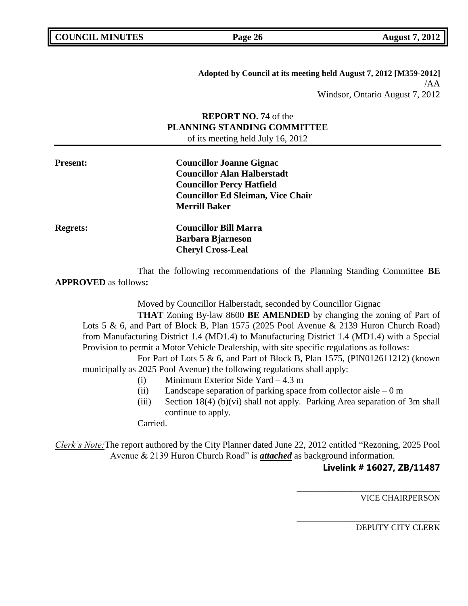**Adopted by Council at its meeting held August 7, 2012 [M359-2012]** /AA Windsor, Ontario August 7, 2012

# **REPORT NO. 74** of the **PLANNING STANDING COMMITTEE** of its meeting held July 16, 2012

**Present: Councillor Joanne Gignac Councillor Alan Halberstadt Councillor Percy Hatfield Councillor Ed Sleiman, Vice Chair Merrill Baker Regrets: Councillor Bill Marra Barbara Bjarneson Cheryl Cross-Leal**

That the following recommendations of the Planning Standing Committee **BE APPROVED** as follows**:** 

Moved by Councillor Halberstadt, seconded by Councillor Gignac

**THAT** Zoning By-law 8600 **BE AMENDED** by changing the zoning of Part of Lots 5 & 6, and Part of Block B, Plan 1575 (2025 Pool Avenue & 2139 Huron Church Road) from Manufacturing District 1.4 (MD1.4) to Manufacturing District 1.4 (MD1.4) with a Special Provision to permit a Motor Vehicle Dealership, with site specific regulations as follows:

For Part of Lots 5 & 6, and Part of Block B, Plan 1575, (PIN012611212) (known municipally as 2025 Pool Avenue) the following regulations shall apply:

- (i) Minimum Exterior Side Yard 4.3 m
- (ii) Landscape separation of parking space from collector aisle  $-0$  m
- (iii) Section 18(4) (b)(vi) shall not apply. Parking Area separation of 3m shall continue to apply.

Carried.

*Clerk's Note:*The report authored by the City Planner dated June 22, 2012 entitled "Rezoning, 2025 Pool Avenue & 2139 Huron Church Road" is *attached* as background information.

## **Livelink # 16027, ZB/11487**

**\_\_\_\_\_\_\_\_\_\_\_\_\_\_\_\_\_\_\_\_\_\_\_\_\_\_\_\_\_\_\_\_\_\_**

\_\_\_\_\_\_\_\_\_\_\_\_\_\_\_\_\_\_\_\_\_\_\_\_\_\_\_\_\_\_\_\_\_\_

VICE CHAIRPERSON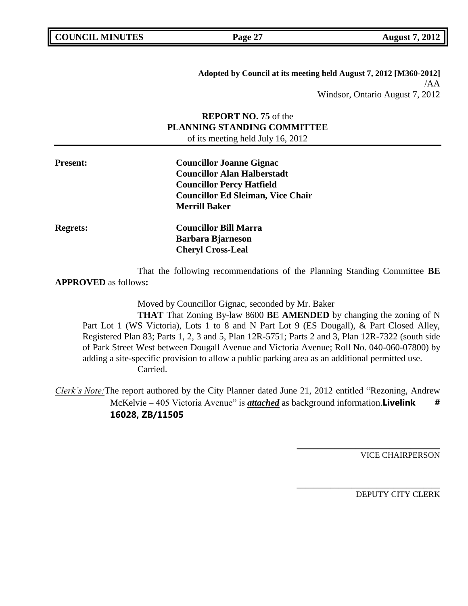| <b>COUNCIL MINUTES</b> |  |
|------------------------|--|
|------------------------|--|

**Page 27 August 7, 2012** 

**Adopted by Council at its meeting held August 7, 2012 [M360-2012]** /AA Windsor, Ontario August 7, 2012

# **REPORT NO. 75** of the **PLANNING STANDING COMMITTEE** of its meeting held July 16, 2012

**Present: Councillor Joanne Gignac Councillor Alan Halberstadt Councillor Percy Hatfield Councillor Ed Sleiman, Vice Chair Merrill Baker Regrets: Councillor Bill Marra Barbara Bjarneson Cheryl Cross-Leal**

That the following recommendations of the Planning Standing Committee **BE APPROVED** as follows**:** 

Moved by Councillor Gignac, seconded by Mr. Baker

**THAT** That Zoning By-law 8600 **BE AMENDED** by changing the zoning of N Part Lot 1 (WS Victoria), Lots 1 to 8 and N Part Lot 9 (ES Dougall), & Part Closed Alley, Registered Plan 83; Parts 1, 2, 3 and 5, Plan 12R-5751; Parts 2 and 3, Plan 12R-7322 (south side of Park Street West between Dougall Avenue and Victoria Avenue; Roll No. 040-060-07800) by adding a site-specific provision to allow a public parking area as an additional permitted use. Carried.

*Clerk's Note:*The report authored by the City Planner dated June 21, 2012 entitled "Rezoning, Andrew McKelvie – 405 Victoria Avenue" is *attached* as background information.**Livelink** # **16028, ZB/11505**

VICE CHAIRPERSON

**\_\_\_\_\_\_\_\_\_\_\_\_\_\_\_\_\_\_\_\_\_\_\_\_\_\_\_\_\_\_\_\_\_\_**

\_\_\_\_\_\_\_\_\_\_\_\_\_\_\_\_\_\_\_\_\_\_\_\_\_\_\_\_\_\_\_\_\_\_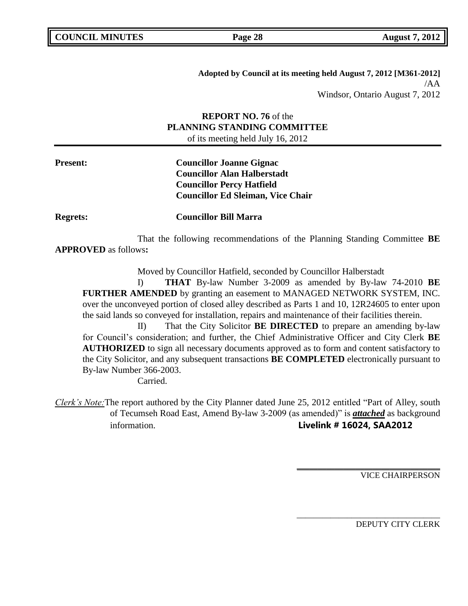**Adopted by Council at its meeting held August 7, 2012 [M361-2012]** /AA Windsor, Ontario August 7, 2012

# **REPORT NO. 76** of the **PLANNING STANDING COMMITTEE** of its meeting held July 16, 2012

**Present: Councillor Joanne Gignac Councillor Alan Halberstadt Councillor Percy Hatfield Councillor Ed Sleiman, Vice Chair**

**Regrets: Councillor Bill Marra**

That the following recommendations of the Planning Standing Committee **BE APPROVED** as follows**:** 

Moved by Councillor Hatfield, seconded by Councillor Halberstadt

I) **THAT** By-law Number 3-2009 as amended by By-law 74-2010 **BE FURTHER AMENDED** by granting an easement to MANAGED NETWORK SYSTEM, INC. over the unconveyed portion of closed alley described as Parts 1 and 10, 12R24605 to enter upon the said lands so conveyed for installation, repairs and maintenance of their facilities therein.

II) That the City Solicitor **BE DIRECTED** to prepare an amending by-law for Council's consideration; and further, the Chief Administrative Officer and City Clerk **BE AUTHORIZED** to sign all necessary documents approved as to form and content satisfactory to the City Solicitor, and any subsequent transactions **BE COMPLETED** electronically pursuant to By-law Number 366-2003.

Carried.

*Clerk's Note:*The report authored by the City Planner dated June 25, 2012 entitled "Part of Alley, south of Tecumseh Road East, Amend By-law 3-2009 (as amended)" is *attached* as background information. **Livelink # 16024, SAA2012**

VICE CHAIRPERSON

**\_\_\_\_\_\_\_\_\_\_\_\_\_\_\_\_\_\_\_\_\_\_\_\_\_\_\_\_\_\_\_\_\_\_**

\_\_\_\_\_\_\_\_\_\_\_\_\_\_\_\_\_\_\_\_\_\_\_\_\_\_\_\_\_\_\_\_\_\_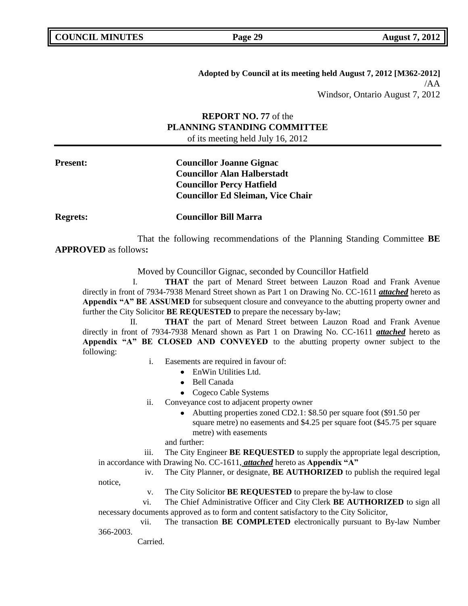**Adopted by Council at its meeting held August 7, 2012 [M362-2012]** /AA Windsor, Ontario August 7, 2012

# **REPORT NO. 77** of the **PLANNING STANDING COMMITTEE** of its meeting held July 16, 2012

**Present: Councillor Joanne Gignac Councillor Alan Halberstadt Councillor Percy Hatfield Councillor Ed Sleiman, Vice Chair**

**Regrets: Councillor Bill Marra**

That the following recommendations of the Planning Standing Committee **BE APPROVED** as follows**:** 

Moved by Councillor Gignac, seconded by Councillor Hatfield

I. **THAT** the part of Menard Street between Lauzon Road and Frank Avenue directly in front of 7934-7938 Menard Street shown as Part 1 on Drawing No. CC-1611 *attached* hereto as **Appendix "A" BE ASSUMED** for subsequent closure and conveyance to the abutting property owner and further the City Solicitor **BE REQUESTED** to prepare the necessary by-law;

II. **THAT** the part of Menard Street between Lauzon Road and Frank Avenue directly in front of 7934-7938 Menard shown as Part 1 on Drawing No. CC-1611 *attached* hereto as **Appendix "A" BE CLOSED AND CONVEYED** to the abutting property owner subject to the following:

i. Easements are required in favour of:

- EnWin Utilities Ltd.
- Bell Canada
- Cogeco Cable Systems

ii. Conveyance cost to adjacent property owner

- Abutting properties zoned CD2.1: \$8.50 per square foot (\$91.50 per square metre) no easements and \$4.25 per square foot (\$45.75 per square metre) with easements
- and further:

iii. The City Engineer **BE REQUESTED** to supply the appropriate legal description, in accordance with Drawing No. CC-1611, *attached* hereto as **Appendix "A"**

iv. The City Planner, or designate, **BE AUTHORIZED** to publish the required legal notice,

v. The City Solicitor **BE REQUESTED** to prepare the by-law to close

vi. The Chief Administrative Officer and City Clerk **BE AUTHORIZED** to sign all necessary documents approved as to form and content satisfactory to the City Solicitor,

vii. The transaction **BE COMPLETED** electronically pursuant to By-law Number 366-2003.

Carried.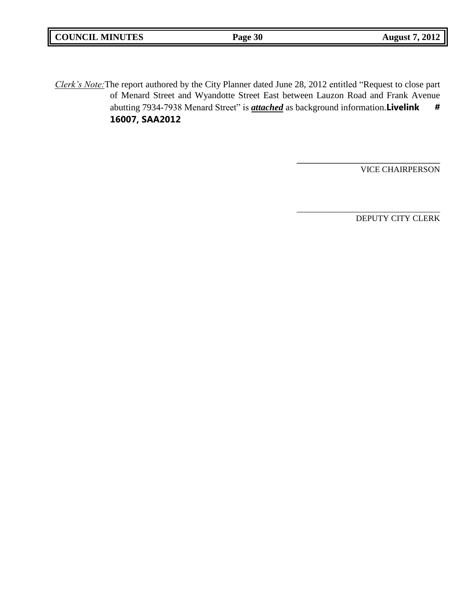| <b>COUNCIL MINUTES</b> | Page 30 | 2012<br>August |
|------------------------|---------|----------------|
|                        |         |                |

*Clerk's Note:*The report authored by the City Planner dated June 28, 2012 entitled "Request to close part of Menard Street and Wyandotte Street East between Lauzon Road and Frank Avenue abutting 7934-7938 Menard Street" is *attached* as background information. Livelink # **16007, SAA2012**

VICE CHAIRPERSON

**\_\_\_\_\_\_\_\_\_\_\_\_\_\_\_\_\_\_\_\_\_\_\_\_\_\_\_\_\_\_\_\_\_\_**

\_\_\_\_\_\_\_\_\_\_\_\_\_\_\_\_\_\_\_\_\_\_\_\_\_\_\_\_\_\_\_\_\_\_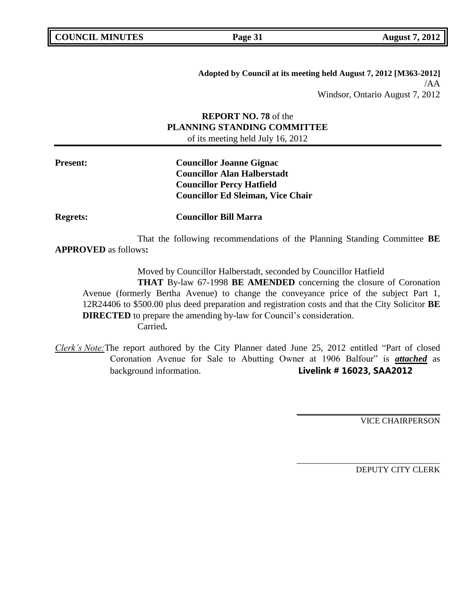**Adopted by Council at its meeting held August 7, 2012 [M363-2012]** /AA Windsor, Ontario August 7, 2012

# **REPORT NO. 78** of the **PLANNING STANDING COMMITTEE** of its meeting held July 16, 2012

**Present: Councillor Joanne Gignac Councillor Alan Halberstadt Councillor Percy Hatfield Councillor Ed Sleiman, Vice Chair**

**Regrets: Councillor Bill Marra**

That the following recommendations of the Planning Standing Committee **BE APPROVED** as follows**:** 

Moved by Councillor Halberstadt, seconded by Councillor Hatfield

**THAT** By-law 67-1998 **BE AMENDED** concerning the closure of Coronation Avenue (formerly Bertha Avenue) to change the conveyance price of the subject Part 1, 12R24406 to \$500.00 plus deed preparation and registration costs and that the City Solicitor **BE DIRECTED** to prepare the amending by-law for Council's consideration. Carried**.**

*Clerk's Note:*The report authored by the City Planner dated June 25, 2012 entitled "Part of closed Coronation Avenue for Sale to Abutting Owner at 1906 Balfour" is *attached* as background information. **Livelink # 16023, SAA2012**

VICE CHAIRPERSON

**\_\_\_\_\_\_\_\_\_\_\_\_\_\_\_\_\_\_\_\_\_\_\_\_\_\_\_\_\_\_\_\_\_\_**

\_\_\_\_\_\_\_\_\_\_\_\_\_\_\_\_\_\_\_\_\_\_\_\_\_\_\_\_\_\_\_\_\_\_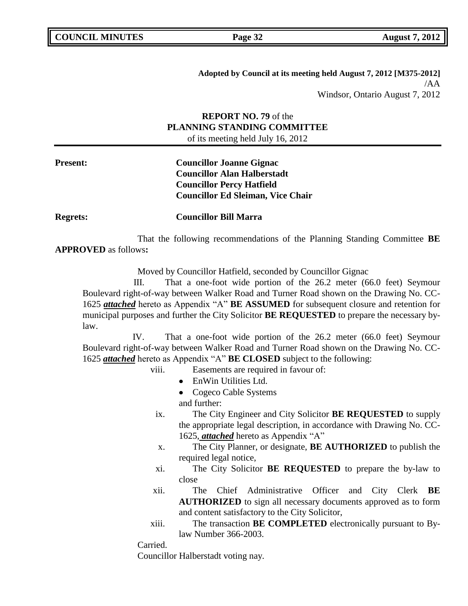**Adopted by Council at its meeting held August 7, 2012 [M375-2012]** /AA Windsor, Ontario August 7, 2012

# **REPORT NO. 79** of the **PLANNING STANDING COMMITTEE** of its meeting held July 16, 2012

**Present: Councillor Joanne Gignac Councillor Alan Halberstadt Councillor Percy Hatfield Councillor Ed Sleiman, Vice Chair**

**Regrets: Councillor Bill Marra**

That the following recommendations of the Planning Standing Committee **BE APPROVED** as follows**:** 

Moved by Councillor Hatfield, seconded by Councillor Gignac

III. That a one-foot wide portion of the 26.2 meter (66.0 feet) Seymour Boulevard right-of-way between Walker Road and Turner Road shown on the Drawing No. CC-1625 *attached* hereto as Appendix "A" **BE ASSUMED** for subsequent closure and retention for municipal purposes and further the City Solicitor **BE REQUESTED** to prepare the necessary bylaw.

IV. That a one-foot wide portion of the 26.2 meter (66.0 feet) Seymour Boulevard right-of-way between Walker Road and Turner Road shown on the Drawing No. CC-1625 *attached* hereto as Appendix "A" **BE CLOSED** subject to the following:

- viii. Easements are required in favour of:
	- EnWin Utilities Ltd.
	- Cogeco Cable Systems

and further:

- ix. The City Engineer and City Solicitor **BE REQUESTED** to supply the appropriate legal description, in accordance with Drawing No. CC-1625, *attached* hereto as Appendix "A"
- x. The City Planner, or designate, **BE AUTHORIZED** to publish the required legal notice,
- xi. The City Solicitor **BE REQUESTED** to prepare the by-law to close
- xii. The Chief Administrative Officer and City Clerk **BE AUTHORIZED** to sign all necessary documents approved as to form and content satisfactory to the City Solicitor,
- xiii. The transaction **BE COMPLETED** electronically pursuant to Bylaw Number 366-2003.

Carried.

Councillor Halberstadt voting nay.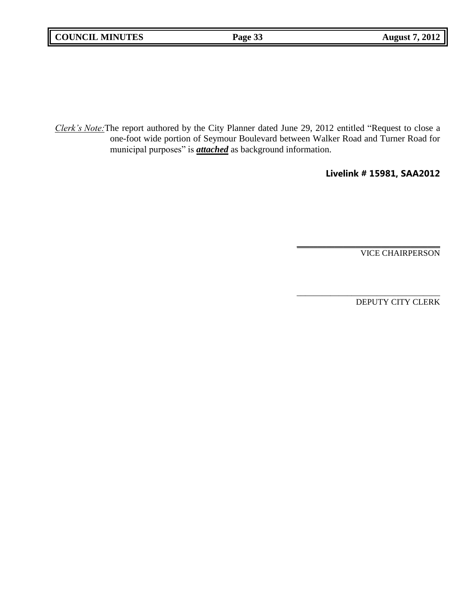*Clerk's Note:*The report authored by the City Planner dated June 29, 2012 entitled "Request to close a one-foot wide portion of Seymour Boulevard between Walker Road and Turner Road for municipal purposes" is *attached* as background information.

# **Livelink # 15981, SAA2012**

**\_\_\_\_\_\_\_\_\_\_\_\_\_\_\_\_\_\_\_\_\_\_\_\_\_\_\_\_\_\_\_\_\_\_**

VICE CHAIRPERSON

\_\_\_\_\_\_\_\_\_\_\_\_\_\_\_\_\_\_\_\_\_\_\_\_\_\_\_\_\_\_\_\_\_\_ DEPUTY CITY CLERK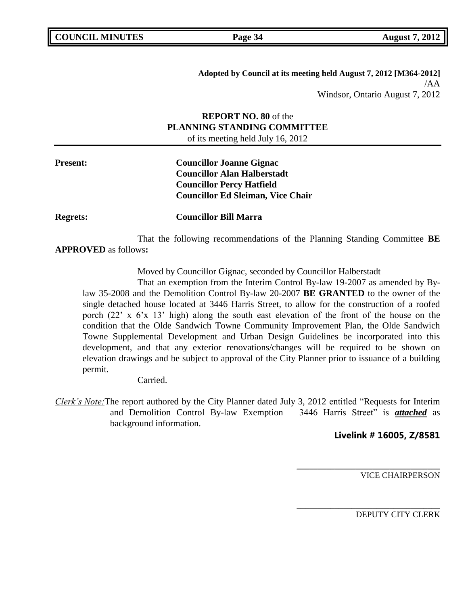**Adopted by Council at its meeting held August 7, 2012 [M364-2012]** /AA Windsor, Ontario August 7, 2012

# **REPORT NO. 80** of the **PLANNING STANDING COMMITTEE** of its meeting held July 16, 2012

**Present: Councillor Joanne Gignac Councillor Alan Halberstadt Councillor Percy Hatfield Councillor Ed Sleiman, Vice Chair**

**Regrets: Councillor Bill Marra**

That the following recommendations of the Planning Standing Committee **BE APPROVED** as follows**:** 

Moved by Councillor Gignac, seconded by Councillor Halberstadt

That an exemption from the Interim Control By-law 19-2007 as amended by Bylaw 35-2008 and the Demolition Control By-law 20-2007 **BE GRANTED** to the owner of the single detached house located at 3446 Harris Street, to allow for the construction of a roofed porch (22' x 6'x 13' high) along the south east elevation of the front of the house on the condition that the Olde Sandwich Towne Community Improvement Plan, the Olde Sandwich Towne Supplemental Development and Urban Design Guidelines be incorporated into this development, and that any exterior renovations/changes will be required to be shown on elevation drawings and be subject to approval of the City Planner prior to issuance of a building permit.

Carried.

*Clerk's Note:*The report authored by the City Planner dated July 3, 2012 entitled "Requests for Interim and Demolition Control By-law Exemption – 3446 Harris Street" is *attached* as background information.

**Livelink # 16005, Z/8581**

**\_\_\_\_\_\_\_\_\_\_\_\_\_\_\_\_\_\_\_\_\_\_\_\_\_\_\_\_\_\_\_\_\_\_**

\_\_\_\_\_\_\_\_\_\_\_\_\_\_\_\_\_\_\_\_\_\_\_\_\_\_\_\_\_\_\_\_\_\_

VICE CHAIRPERSON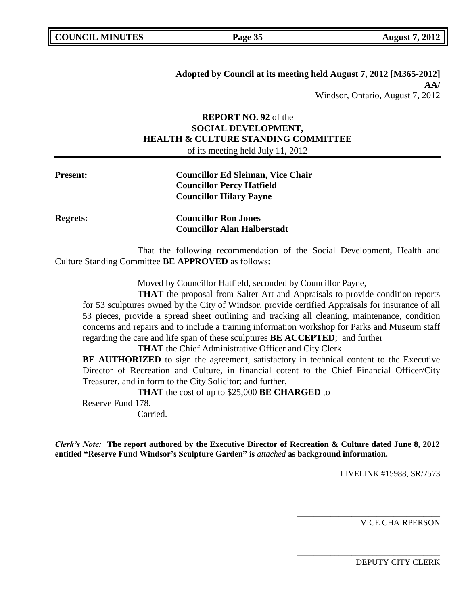**Adopted by Council at its meeting held August 7, 2012 [M365-2012] AA/** Windsor, Ontario, August 7, 2012

# **REPORT NO. 92** of the **SOCIAL DEVELOPMENT, HEALTH & CULTURE STANDING COMMITTEE** of its meeting held July 11, 2012

| <b>Present:</b> | <b>Councillor Ed Sleiman, Vice Chair</b><br><b>Councillor Percy Hatfield</b><br><b>Councillor Hilary Payne</b> |
|-----------------|----------------------------------------------------------------------------------------------------------------|
|                 |                                                                                                                |

**Regrets: Councillor Ron Jones Councillor Alan Halberstadt**

That the following recommendation of the Social Development, Health and Culture Standing Committee **BE APPROVED** as follows**:** 

Moved by Councillor Hatfield, seconded by Councillor Payne,

**THAT** the proposal from Salter Art and Appraisals to provide condition reports for 53 sculptures owned by the City of Windsor, provide certified Appraisals for insurance of all 53 pieces, provide a spread sheet outlining and tracking all cleaning, maintenance, condition concerns and repairs and to include a training information workshop for Parks and Museum staff regarding the care and life span of these sculptures **BE ACCEPTED**; and further

**THAT** the Chief Administrative Officer and City Clerk

**BE AUTHORIZED** to sign the agreement, satisfactory in technical content to the Executive Director of Recreation and Culture, in financial cotent to the Chief Financial Officer/City Treasurer, and in form to the City Solicitor; and further,

**THAT** the cost of up to \$25,000 **BE CHARGED** to

Reserve Fund 178. Carried.

*Clerk's Note:* **The report authored by the Executive Director of Recreation & Culture dated June 8, 2012 entitled "Reserve Fund Windsor"s Sculpture Garden" is** *attached* **as background information.**

LIVELINK #15988, SR/7573

**\_\_\_\_\_\_\_\_\_\_\_\_\_\_\_\_\_\_\_\_\_\_\_\_\_\_\_\_\_\_\_\_\_\_**

\_\_\_\_\_\_\_\_\_\_\_\_\_\_\_\_\_\_\_\_\_\_\_\_\_\_\_\_\_\_\_\_\_\_

VICE CHAIRPERSON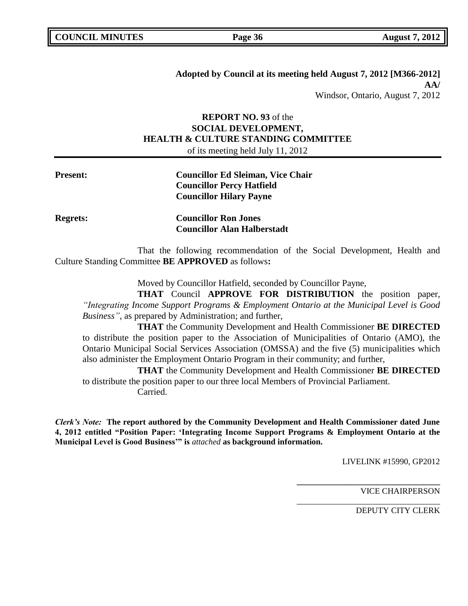**Adopted by Council at its meeting held August 7, 2012 [M366-2012] AA/** Windsor, Ontario, August 7, 2012

# **REPORT NO. 93** of the **SOCIAL DEVELOPMENT, HEALTH & CULTURE STANDING COMMITTEE** of its meeting held July 11, 2012

# **Present: Councillor Ed Sleiman, Vice Chair Councillor Percy Hatfield Councillor Hilary Payne**

**Regrets: Councillor Ron Jones Councillor Alan Halberstadt**

That the following recommendation of the Social Development, Health and Culture Standing Committee **BE APPROVED** as follows**:** 

Moved by Councillor Hatfield, seconded by Councillor Payne,

**THAT** Council **APPROVE FOR DISTRIBUTION** the position paper, *"Integrating Income Support Programs & Employment Ontario at the Municipal Level is Good Business"*, as prepared by Administration; and further,

**THAT** the Community Development and Health Commissioner **BE DIRECTED** to distribute the position paper to the Association of Municipalities of Ontario (AMO), the Ontario Municipal Social Services Association (OMSSA) and the five (5) municipalities which also administer the Employment Ontario Program in their community; and further,

**THAT** the Community Development and Health Commissioner **BE DIRECTED** to distribute the position paper to our three local Members of Provincial Parliament. Carried.

*Clerk's Note:* **The report authored by the Community Development and Health Commissioner dated June 4, 2012 entitled "Position Paper: "Integrating Income Support Programs & Employment Ontario at the Municipal Level is Good Business"" is** *attached* **as background information.**

LIVELINK #15990, GP2012

**\_\_\_\_\_\_\_\_\_\_\_\_\_\_\_\_\_\_\_\_\_\_\_\_\_\_\_\_\_\_\_\_\_\_**

\_\_\_\_\_\_\_\_\_\_\_\_\_\_\_\_\_\_\_\_\_\_\_\_\_\_\_\_\_\_\_\_\_\_

VICE CHAIRPERSON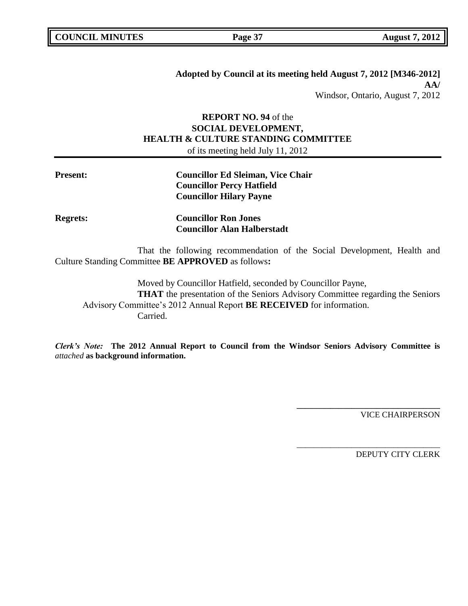**Adopted by Council at its meeting held August 7, 2012 [M346-2012] AA/** Windsor, Ontario, August 7, 2012

# **REPORT NO. 94** of the **SOCIAL DEVELOPMENT, HEALTH & CULTURE STANDING COMMITTEE** of its meeting held July 11, 2012

| <b>Councillor Ed Sleiman, Vice Chair</b> |
|------------------------------------------|
| <b>Councillor Percy Hatfield</b>         |
| <b>Councillor Hilary Payne</b>           |
|                                          |

**Regrets: Councillor Ron Jones Councillor Alan Halberstadt**

That the following recommendation of the Social Development, Health and Culture Standing Committee **BE APPROVED** as follows**:** 

Moved by Councillor Hatfield, seconded by Councillor Payne, **THAT** the presentation of the Seniors Advisory Committee regarding the Seniors Advisory Committee's 2012 Annual Report **BE RECEIVED** for information. Carried.

*Clerk's Note:* **The 2012 Annual Report to Council from the Windsor Seniors Advisory Committee is**  *attached* **as background information.**

VICE CHAIRPERSON

**\_\_\_\_\_\_\_\_\_\_\_\_\_\_\_\_\_\_\_\_\_\_\_\_\_\_\_\_\_\_\_\_\_\_**

\_\_\_\_\_\_\_\_\_\_\_\_\_\_\_\_\_\_\_\_\_\_\_\_\_\_\_\_\_\_\_\_\_\_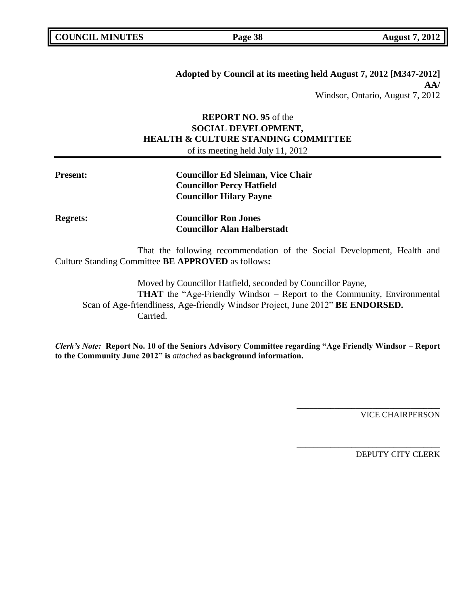**Adopted by Council at its meeting held August 7, 2012 [M347-2012] AA/** Windsor, Ontario, August 7, 2012

# **REPORT NO. 95** of the **SOCIAL DEVELOPMENT, HEALTH & CULTURE STANDING COMMITTEE** of its meeting held July 11, 2012

| <b>Present:</b> | <b>Councillor Ed Sleiman, Vice Chair</b> |
|-----------------|------------------------------------------|
|                 | <b>Councillor Percy Hatfield</b>         |
|                 | <b>Councillor Hilary Payne</b>           |

**Regrets: Councillor Ron Jones Councillor Alan Halberstadt**

That the following recommendation of the Social Development, Health and Culture Standing Committee **BE APPROVED** as follows**:** 

Moved by Councillor Hatfield, seconded by Councillor Payne, **THAT** the "Age-Friendly Windsor – Report to the Community, Environmental Scan of Age-friendliness, Age-friendly Windsor Project, June 2012" **BE ENDORSED.** Carried.

*Clerk's Note:* **Report No. 10 of the Seniors Advisory Committee regarding "Age Friendly Windsor – Report to the Community June 2012" is** *attached* **as background information.**

VICE CHAIRPERSON

**\_\_\_\_\_\_\_\_\_\_\_\_\_\_\_\_\_\_\_\_\_\_\_\_\_\_\_\_\_\_\_\_\_\_**

\_\_\_\_\_\_\_\_\_\_\_\_\_\_\_\_\_\_\_\_\_\_\_\_\_\_\_\_\_\_\_\_\_\_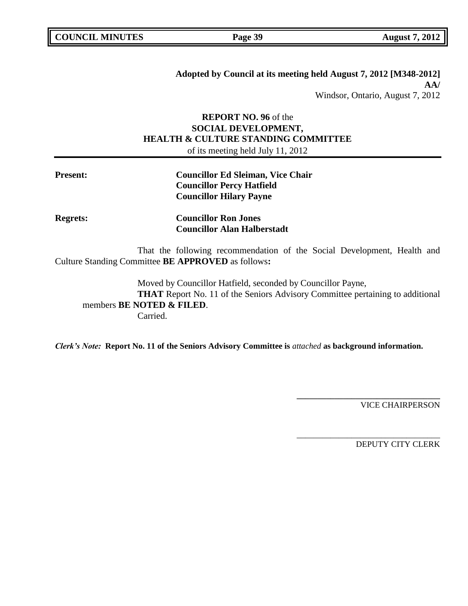**Adopted by Council at its meeting held August 7, 2012 [M348-2012] AA/** Windsor, Ontario, August 7, 2012

# **REPORT NO. 96** of the **SOCIAL DEVELOPMENT, HEALTH & CULTURE STANDING COMMITTEE** of its meeting held July 11, 2012

| <b>Present:</b> | <b>Councillor Ed Sleiman, Vice Chair</b> |
|-----------------|------------------------------------------|
|                 | <b>Councillor Percy Hatfield</b>         |
|                 | <b>Councillor Hilary Payne</b>           |

**Regrets: Councillor Ron Jones Councillor Alan Halberstadt**

That the following recommendation of the Social Development, Health and Culture Standing Committee **BE APPROVED** as follows**:** 

Moved by Councillor Hatfield, seconded by Councillor Payne, **THAT** Report No. 11 of the Seniors Advisory Committee pertaining to additional members **BE NOTED & FILED**. Carried.

*Clerk's Note:* **Report No. 11 of the Seniors Advisory Committee is** *attached* **as background information.**

VICE CHAIRPERSON

**\_\_\_\_\_\_\_\_\_\_\_\_\_\_\_\_\_\_\_\_\_\_\_\_\_\_\_\_\_\_\_\_\_\_**

\_\_\_\_\_\_\_\_\_\_\_\_\_\_\_\_\_\_\_\_\_\_\_\_\_\_\_\_\_\_\_\_\_\_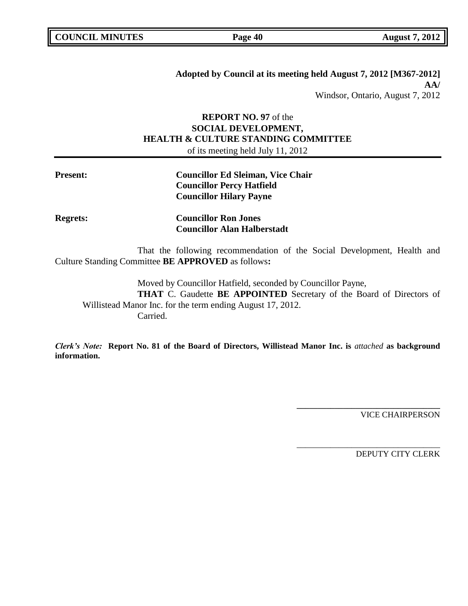**Adopted by Council at its meeting held August 7, 2012 [M367-2012] AA/** Windsor, Ontario, August 7, 2012

# **REPORT NO. 97** of the **SOCIAL DEVELOPMENT, HEALTH & CULTURE STANDING COMMITTEE** of its meeting held July 11, 2012

| <b>Present:</b> | <b>Councillor Ed Sleiman, Vice Chair</b> |
|-----------------|------------------------------------------|
|                 | <b>Councillor Percy Hatfield</b>         |
|                 | <b>Councillor Hilary Payne</b>           |

**Regrets: Councillor Ron Jones Councillor Alan Halberstadt**

That the following recommendation of the Social Development, Health and Culture Standing Committee **BE APPROVED** as follows**:** 

Moved by Councillor Hatfield, seconded by Councillor Payne, **THAT** C. Gaudette **BE APPOINTED** Secretary of the Board of Directors of Willistead Manor Inc. for the term ending August 17, 2012. Carried.

*Clerk's Note:* **Report No. 81 of the Board of Directors, Willistead Manor Inc. is** *attached* **as background information.**

VICE CHAIRPERSON

**\_\_\_\_\_\_\_\_\_\_\_\_\_\_\_\_\_\_\_\_\_\_\_\_\_\_\_\_\_\_\_\_\_\_**

\_\_\_\_\_\_\_\_\_\_\_\_\_\_\_\_\_\_\_\_\_\_\_\_\_\_\_\_\_\_\_\_\_\_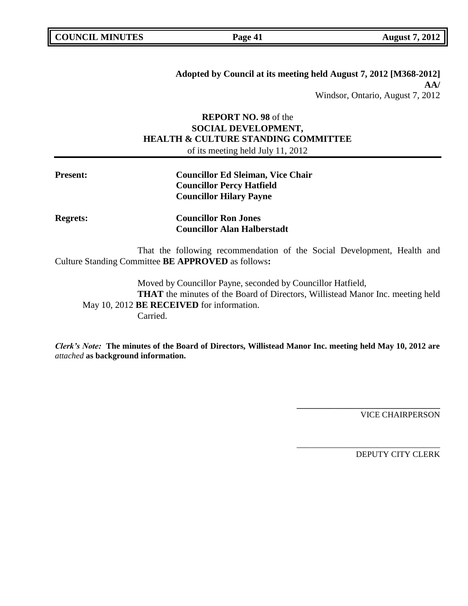**Adopted by Council at its meeting held August 7, 2012 [M368-2012] AA/** Windsor, Ontario, August 7, 2012

# **REPORT NO. 98** of the **SOCIAL DEVELOPMENT, HEALTH & CULTURE STANDING COMMITTEE** of its meeting held July 11, 2012

| <b>Present:</b> | <b>Councillor Ed Sleiman, Vice Chair</b> |
|-----------------|------------------------------------------|
|                 | <b>Councillor Percy Hatfield</b>         |
|                 | <b>Councillor Hilary Payne</b>           |

**Regrets: Councillor Ron Jones Councillor Alan Halberstadt**

That the following recommendation of the Social Development, Health and Culture Standing Committee **BE APPROVED** as follows**:** 

Moved by Councillor Payne, seconded by Councillor Hatfield, **THAT** the minutes of the Board of Directors, Willistead Manor Inc. meeting held May 10, 2012 **BE RECEIVED** for information. Carried.

*Clerk's Note:* **The minutes of the Board of Directors, Willistead Manor Inc. meeting held May 10, 2012 are**  *attached* **as background information.**

VICE CHAIRPERSON

**\_\_\_\_\_\_\_\_\_\_\_\_\_\_\_\_\_\_\_\_\_\_\_\_\_\_\_\_\_\_\_\_\_\_**

\_\_\_\_\_\_\_\_\_\_\_\_\_\_\_\_\_\_\_\_\_\_\_\_\_\_\_\_\_\_\_\_\_\_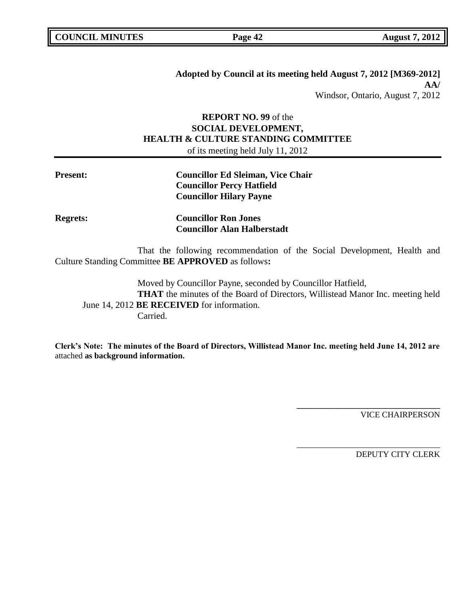**Adopted by Council at its meeting held August 7, 2012 [M369-2012] AA/** Windsor, Ontario, August 7, 2012

# **REPORT NO. 99** of the **SOCIAL DEVELOPMENT, HEALTH & CULTURE STANDING COMMITTEE** of its meeting held July 11, 2012

| <b>Present:</b> | <b>Councillor Ed Sleiman, Vice Chair</b> |
|-----------------|------------------------------------------|
|                 | <b>Councillor Percy Hatfield</b>         |
|                 | <b>Councillor Hilary Payne</b>           |

**Regrets: Councillor Ron Jones Councillor Alan Halberstadt**

That the following recommendation of the Social Development, Health and Culture Standing Committee **BE APPROVED** as follows**:** 

Moved by Councillor Payne, seconded by Councillor Hatfield, **THAT** the minutes of the Board of Directors, Willistead Manor Inc. meeting held June 14, 2012 **BE RECEIVED** for information. Carried.

**Clerk"s Note: The minutes of the Board of Directors, Willistead Manor Inc. meeting held June 14, 2012 are**  attached **as background information.**

VICE CHAIRPERSON

**\_\_\_\_\_\_\_\_\_\_\_\_\_\_\_\_\_\_\_\_\_\_\_\_\_\_\_\_\_\_\_\_\_\_**

\_\_\_\_\_\_\_\_\_\_\_\_\_\_\_\_\_\_\_\_\_\_\_\_\_\_\_\_\_\_\_\_\_\_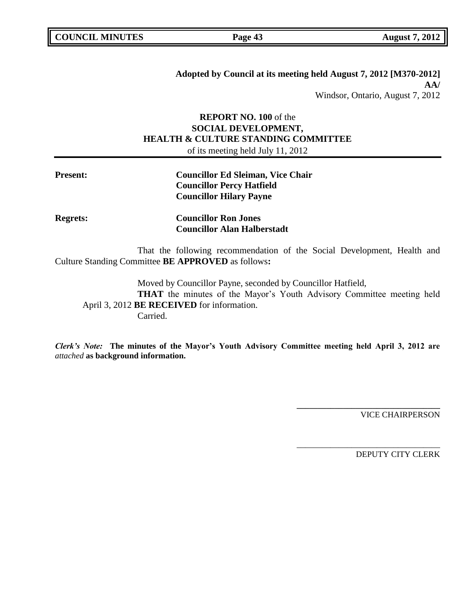**Adopted by Council at its meeting held August 7, 2012 [M370-2012] AA/** Windsor, Ontario, August 7, 2012

# **REPORT NO. 100** of the **SOCIAL DEVELOPMENT, HEALTH & CULTURE STANDING COMMITTEE** of its meeting held July 11, 2012

| <b>Present:</b> | <b>Councillor Ed Sleiman, Vice Chair</b> |
|-----------------|------------------------------------------|
|                 | <b>Councillor Percy Hatfield</b>         |
|                 | <b>Councillor Hilary Payne</b>           |

**Regrets: Councillor Ron Jones Councillor Alan Halberstadt**

That the following recommendation of the Social Development, Health and Culture Standing Committee **BE APPROVED** as follows**:** 

Moved by Councillor Payne, seconded by Councillor Hatfield, **THAT** the minutes of the Mayor's Youth Advisory Committee meeting held April 3, 2012 **BE RECEIVED** for information. Carried.

*Clerk's Note:* **The minutes of the Mayor"s Youth Advisory Committee meeting held April 3, 2012 are**  *attached* **as background information.**

VICE CHAIRPERSON

**\_\_\_\_\_\_\_\_\_\_\_\_\_\_\_\_\_\_\_\_\_\_\_\_\_\_\_\_\_\_\_\_\_\_**

\_\_\_\_\_\_\_\_\_\_\_\_\_\_\_\_\_\_\_\_\_\_\_\_\_\_\_\_\_\_\_\_\_\_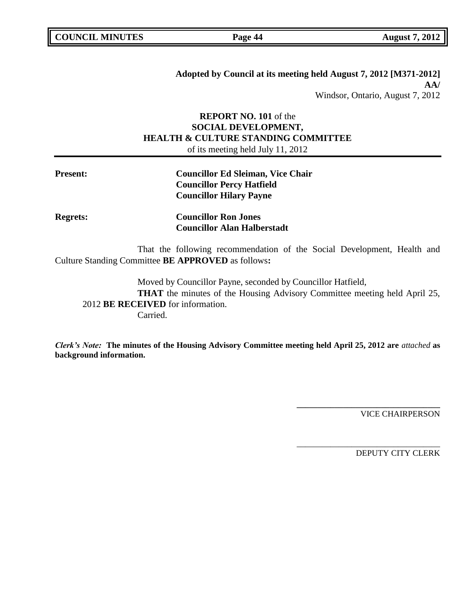**Adopted by Council at its meeting held August 7, 2012 [M371-2012] AA/** Windsor, Ontario, August 7, 2012

# **REPORT NO. 101** of the **SOCIAL DEVELOPMENT, HEALTH & CULTURE STANDING COMMITTEE** of its meeting held July 11, 2012

**Councillor Alan Halberstadt**

| <b>Present:</b> | <b>Councillor Ed Sleiman, Vice Chair</b><br><b>Councillor Percy Hatfield</b><br><b>Councillor Hilary Payne</b> |
|-----------------|----------------------------------------------------------------------------------------------------------------|
| <b>Regrets:</b> | <b>Councillor Ron Jones</b>                                                                                    |

That the following recommendation of the Social Development, Health and Culture Standing Committee **BE APPROVED** as follows**:** 

Moved by Councillor Payne, seconded by Councillor Hatfield, **THAT** the minutes of the Housing Advisory Committee meeting held April 25, 2012 **BE RECEIVED** for information. Carried.

*Clerk's Note:* **The minutes of the Housing Advisory Committee meeting held April 25, 2012 are** *attached* **as background information.**

VICE CHAIRPERSON

**\_\_\_\_\_\_\_\_\_\_\_\_\_\_\_\_\_\_\_\_\_\_\_\_\_\_\_\_\_\_\_\_\_\_**

\_\_\_\_\_\_\_\_\_\_\_\_\_\_\_\_\_\_\_\_\_\_\_\_\_\_\_\_\_\_\_\_\_\_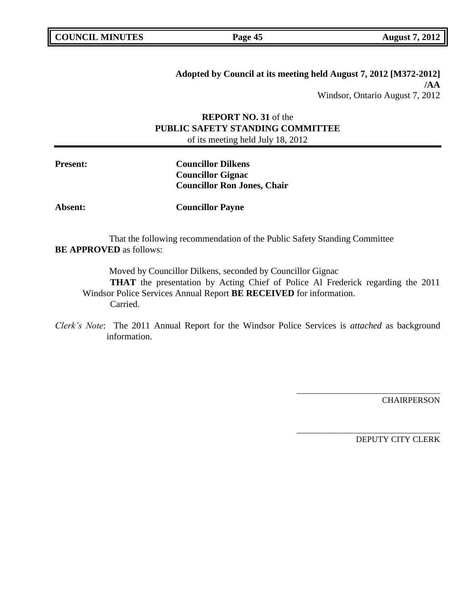**Adopted by Council at its meeting held August 7, 2012 [M372-2012] /AA** Windsor, Ontario August 7, 2012

# **REPORT NO. 31** of the **PUBLIC SAFETY STANDING COMMITTEE**

of its meeting held July 18, 2012

**Present: Councillor Dilkens Councillor Gignac Councillor Ron Jones, Chair**

**Absent: Councillor Payne**

That the following recommendation of the Public Safety Standing Committee **BE APPROVED** as follows:

Moved by Councillor Dilkens, seconded by Councillor Gignac

**THAT** the presentation by Acting Chief of Police Al Frederick regarding the 2011 Windsor Police Services Annual Report **BE RECEIVED** for information. Carried.

*Clerk's Note*: The 2011 Annual Report for the Windsor Police Services is *attached* as background information.

**CHAIRPERSON** 

DEPUTY CITY CLERK

\_\_\_\_\_\_\_\_\_\_\_\_\_\_\_\_\_\_\_\_\_\_\_\_\_\_\_\_\_\_\_\_\_\_

\_\_\_\_\_\_\_\_\_\_\_\_\_\_\_\_\_\_\_\_\_\_\_\_\_\_\_\_\_\_\_\_\_\_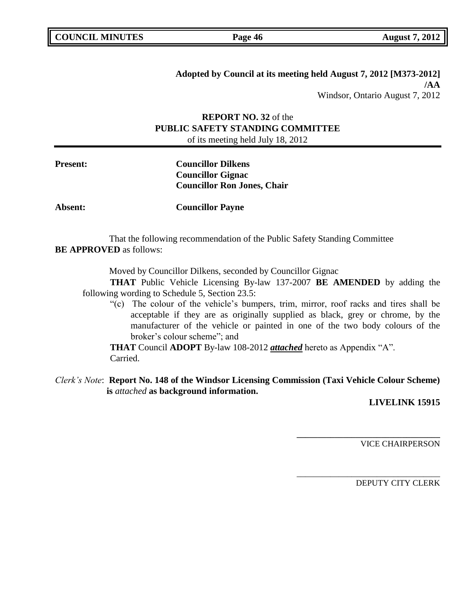# **Adopted by Council at its meeting held August 7, 2012 [M373-2012] /AA** Windsor, Ontario August 7, 2012

# **REPORT NO. 32** of the **PUBLIC SAFETY STANDING COMMITTEE**

of its meeting held July 18, 2012

**Present: Councillor Dilkens Councillor Gignac Councillor Ron Jones, Chair**

**Absent: Councillor Payne**

That the following recommendation of the Public Safety Standing Committee **BE APPROVED** as follows:

Moved by Councillor Dilkens, seconded by Councillor Gignac

**THAT** Public Vehicle Licensing By-law 137-2007 **BE AMENDED** by adding the following wording to Schedule 5, Section 23.5:

"(c) The colour of the vehicle's bumpers, trim, mirror, roof racks and tires shall be acceptable if they are as originally supplied as black, grey or chrome, by the manufacturer of the vehicle or painted in one of the two body colours of the broker's colour scheme"; and

**THAT** Council **ADOPT** By-law 108-2012 *attached* hereto as Appendix "A". Carried.

*Clerk's Note*: **Report No. 148 of the Windsor Licensing Commission (Taxi Vehicle Colour Scheme) is** *attached* **as background information.**

**LIVELINK 15915**

VICE CHAIRPERSON

**\_\_\_\_\_\_\_\_\_\_\_\_\_\_\_\_\_\_\_\_\_\_\_\_\_\_\_\_\_\_\_\_\_\_**

\_\_\_\_\_\_\_\_\_\_\_\_\_\_\_\_\_\_\_\_\_\_\_\_\_\_\_\_\_\_\_\_\_\_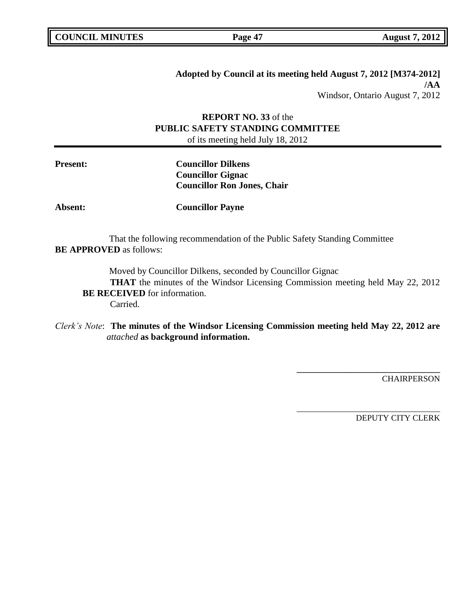# **Adopted by Council at its meeting held August 7, 2012 [M374-2012] /AA** Windsor, Ontario August 7, 2012

# **REPORT NO. 33** of the **PUBLIC SAFETY STANDING COMMITTEE** of its meeting held July 18, 2012

**Present: Councillor Dilkens Councillor Gignac Councillor Ron Jones, Chair**

**Absent: Councillor Payne**

That the following recommendation of the Public Safety Standing Committee **BE APPROVED** as follows:

Moved by Councillor Dilkens, seconded by Councillor Gignac

**THAT** the minutes of the Windsor Licensing Commission meeting held May 22, 2012 **BE RECEIVED** for information. Carried.

# *Clerk's Note*: **The minutes of the Windsor Licensing Commission meeting held May 22, 2012 are**  *attached* **as background information.**

**CHAIRPERSON** 

DEPUTY CITY CLERK

**\_\_\_\_\_\_\_\_\_\_\_\_\_\_\_\_\_\_\_\_\_\_\_\_\_\_\_\_\_\_\_\_\_\_**

\_\_\_\_\_\_\_\_\_\_\_\_\_\_\_\_\_\_\_\_\_\_\_\_\_\_\_\_\_\_\_\_\_\_